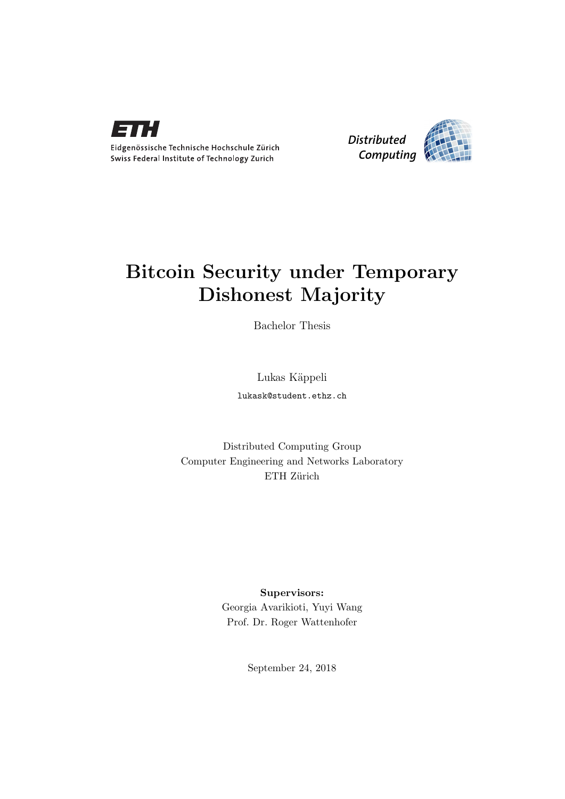



## Bitcoin Security under Temporary Dishonest Majority

Bachelor Thesis

Lukas Käppeli

lukask@student.ethz.ch

Distributed Computing Group Computer Engineering and Networks Laboratory ETH Zürich

> Supervisors: Georgia Avarikioti, Yuyi Wang Prof. Dr. Roger Wattenhofer

> > September 24, 2018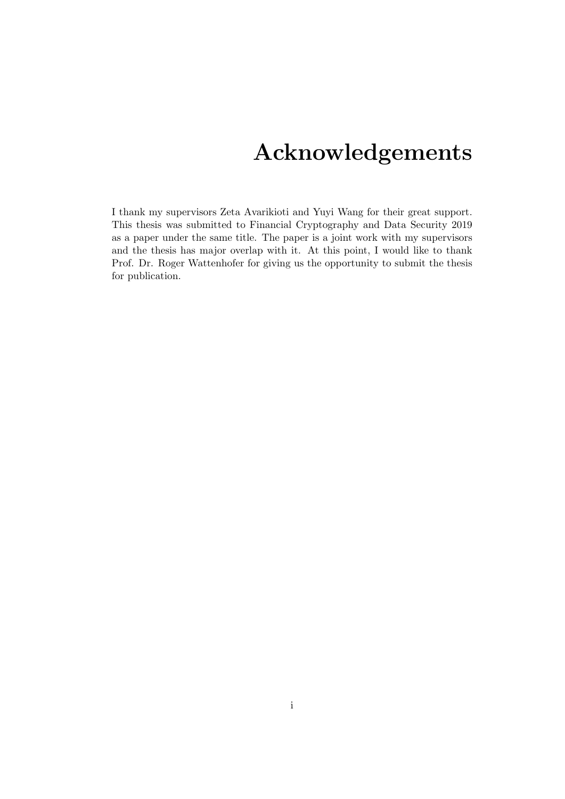## Acknowledgements

<span id="page-1-0"></span>I thank my supervisors Zeta Avarikioti and Yuyi Wang for their great support. This thesis was submitted to Financial Cryptography and Data Security 2019 as a paper under the same title. The paper is a joint work with my supervisors and the thesis has major overlap with it. At this point, I would like to thank Prof. Dr. Roger Wattenhofer for giving us the opportunity to submit the thesis for publication.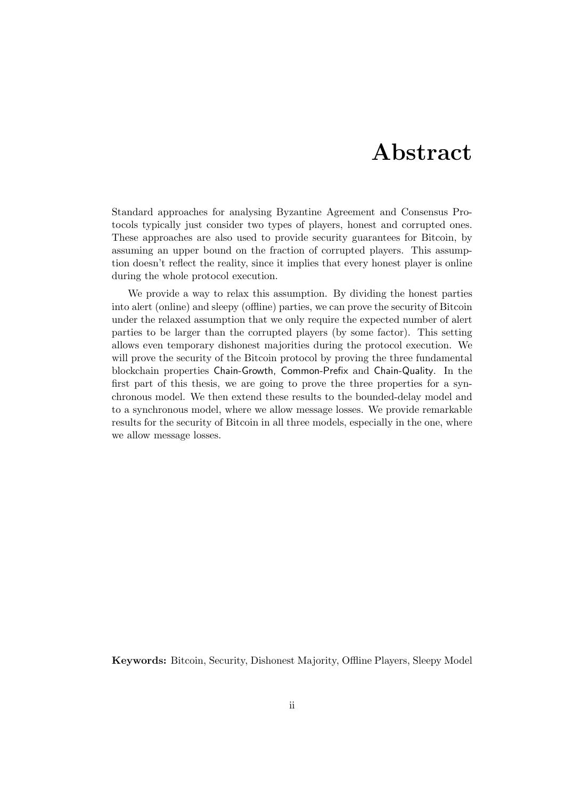## Abstract

<span id="page-2-0"></span>Standard approaches for analysing Byzantine Agreement and Consensus Protocols typically just consider two types of players, honest and corrupted ones. These approaches are also used to provide security guarantees for Bitcoin, by assuming an upper bound on the fraction of corrupted players. This assumption doesn't reflect the reality, since it implies that every honest player is online during the whole protocol execution.

We provide a way to relax this assumption. By dividing the honest parties into alert (online) and sleepy (offline) parties, we can prove the security of Bitcoin under the relaxed assumption that we only require the expected number of alert parties to be larger than the corrupted players (by some factor). This setting allows even temporary dishonest majorities during the protocol execution. We will prove the security of the Bitcoin protocol by proving the three fundamental blockchain properties Chain-Growth, Common-Prefix and Chain-Quality. In the first part of this thesis, we are going to prove the three properties for a synchronous model. We then extend these results to the bounded-delay model and to a synchronous model, where we allow message losses. We provide remarkable results for the security of Bitcoin in all three models, especially in the one, where we allow message losses.

Keywords: Bitcoin, Security, Dishonest Majority, Offline Players, Sleepy Model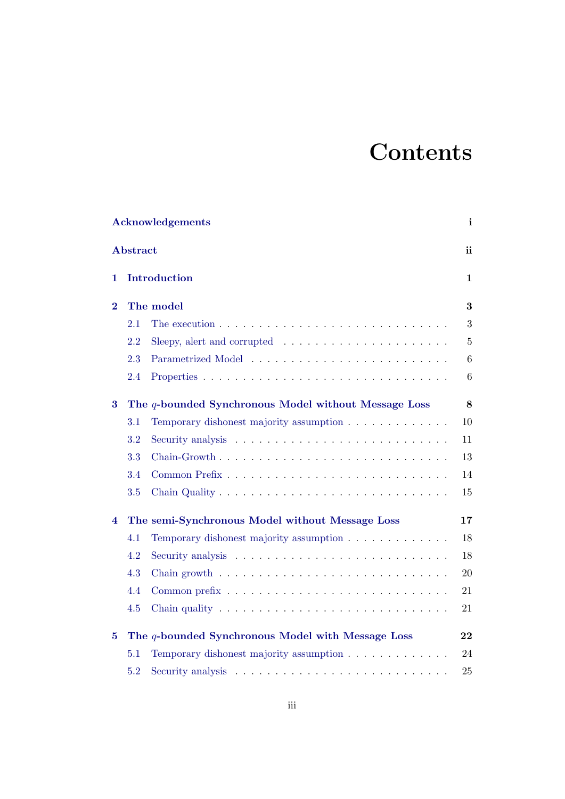# **Contents**

|          |                 | <b>Acknowledgements</b>                                                                | i                |
|----------|-----------------|----------------------------------------------------------------------------------------|------------------|
|          | <b>Abstract</b> |                                                                                        | ii               |
| 1        |                 | Introduction                                                                           | $\mathbf{1}$     |
| $\bf{2}$ |                 | The model                                                                              | 3                |
|          | 2.1             | The execution $\ldots \ldots \ldots \ldots \ldots \ldots \ldots \ldots \ldots \ldots$  | $\boldsymbol{3}$ |
|          | 2.2             | Sleepy, alert and corrupted $\dots \dots \dots \dots \dots \dots \dots$                | $\bf 5$          |
|          | 2.3             |                                                                                        | $\,6\,$          |
|          | 2.4             |                                                                                        | $6\phantom{.}6$  |
| 3        |                 | The q-bounded Synchronous Model without Message Loss                                   | $\bf 8$          |
|          | 3.1             | Temporary dishonest majority assumption                                                | 10               |
|          | 3.2             |                                                                                        | 11               |
|          | 3.3             |                                                                                        | 13               |
|          | 3.4             |                                                                                        | 14               |
|          | 3.5             |                                                                                        | 15               |
| 4        |                 | The semi-Synchronous Model without Message Loss                                        | 17               |
|          | 4.1             | Temporary dishonest majority assumption                                                | 18               |
|          | 4.2             |                                                                                        | 18               |
|          | 4.3             | Chain growth $\dots \dots \dots \dots \dots \dots \dots \dots \dots \dots \dots \dots$ | 20               |
|          | 4.4             |                                                                                        | 21               |
|          | 4.5             | Chain quality $\dots \dots \dots \dots \dots \dots \dots \dots \dots \dots \dots$      | 21               |
| 5        |                 | The q-bounded Synchronous Model with Message Loss                                      | 22               |
|          | 5.1             | Temporary dishonest majority assumption                                                | 24               |
|          | 5.2             |                                                                                        | 25               |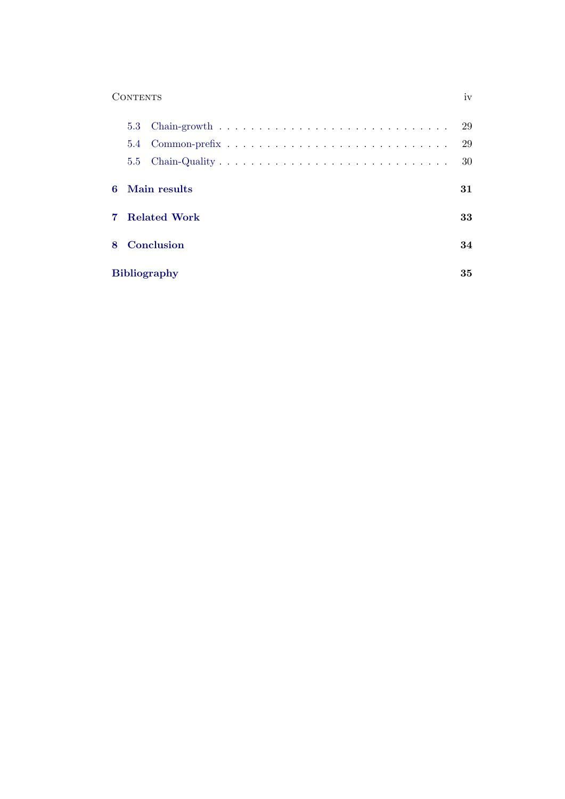### Contents iv

|  |                     | -29 |
|--|---------------------|-----|
|  |                     | 29  |
|  |                     | 30  |
|  | 6 Main results      | 31  |
|  | 7 Related Work      | 33  |
|  | 8 Conclusion        | 34  |
|  | <b>Bibliography</b> | 35  |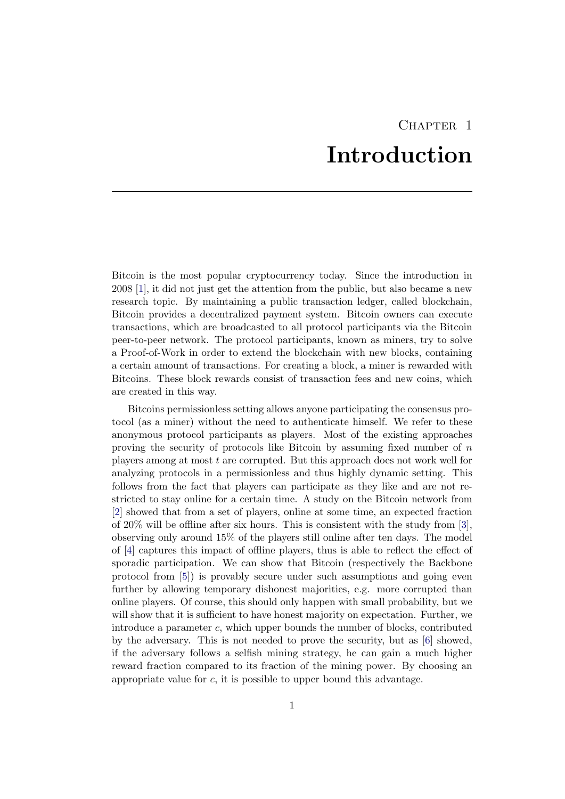## CHAPTER<sub>1</sub> Introduction

<span id="page-5-0"></span>Bitcoin is the most popular cryptocurrency today. Since the introduction in 2008 [\[1\]](#page-39-1), it did not just get the attention from the public, but also became a new research topic. By maintaining a public transaction ledger, called blockchain, Bitcoin provides a decentralized payment system. Bitcoin owners can execute transactions, which are broadcasted to all protocol participants via the Bitcoin peer-to-peer network. The protocol participants, known as miners, try to solve a Proof-of-Work in order to extend the blockchain with new blocks, containing a certain amount of transactions. For creating a block, a miner is rewarded with Bitcoins. These block rewards consist of transaction fees and new coins, which are created in this way.

Bitcoins permissionless setting allows anyone participating the consensus protocol (as a miner) without the need to authenticate himself. We refer to these anonymous protocol participants as players. Most of the existing approaches proving the security of protocols like Bitcoin by assuming fixed number of n players among at most t are corrupted. But this approach does not work well for analyzing protocols in a permissionless and thus highly dynamic setting. This follows from the fact that players can participate as they like and are not restricted to stay online for a certain time. A study on the Bitcoin network from [\[2\]](#page-39-2) showed that from a set of players, online at some time, an expected fraction of 20% will be offline after six hours. This is consistent with the study from [\[3\]](#page-39-3), observing only around 15% of the players still online after ten days. The model of [\[4\]](#page-39-4) captures this impact of offline players, thus is able to reflect the effect of sporadic participation. We can show that Bitcoin (respectively the Backbone protocol from [\[5\]](#page-39-5)) is provably secure under such assumptions and going even further by allowing temporary dishonest majorities, e.g. more corrupted than online players. Of course, this should only happen with small probability, but we will show that it is sufficient to have honest majority on expectation. Further, we introduce a parameter c, which upper bounds the number of blocks, contributed by the adversary. This is not needed to prove the security, but as [\[6\]](#page-39-6) showed, if the adversary follows a selfish mining strategy, he can gain a much higher reward fraction compared to its fraction of the mining power. By choosing an appropriate value for c, it is possible to upper bound this advantage.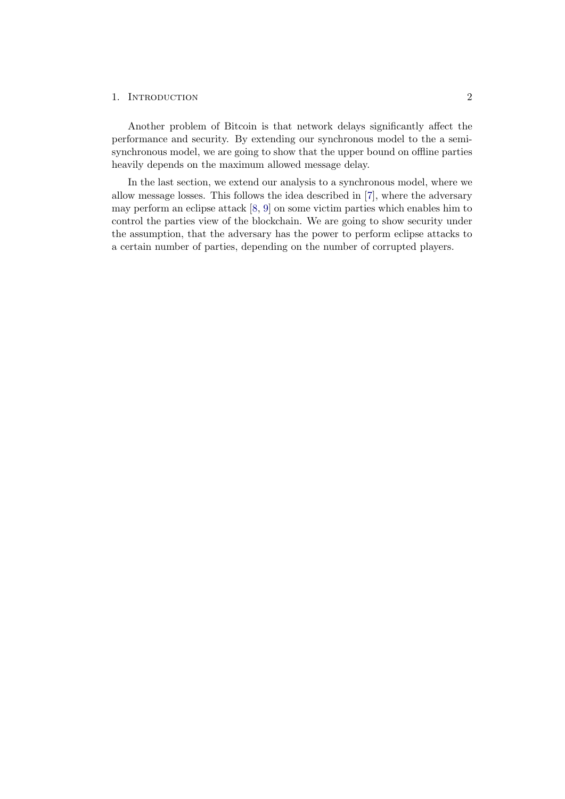#### 1. INTRODUCTION 2

Another problem of Bitcoin is that network delays significantly affect the performance and security. By extending our synchronous model to the a semisynchronous model, we are going to show that the upper bound on offline parties heavily depends on the maximum allowed message delay.

In the last section, we extend our analysis to a synchronous model, where we allow message losses. This follows the idea described in [\[7\]](#page-39-7), where the adversary may perform an eclipse attack [\[8,](#page-39-8) [9\]](#page-39-9) on some victim parties which enables him to control the parties view of the blockchain. We are going to show security under the assumption, that the adversary has the power to perform eclipse attacks to a certain number of parties, depending on the number of corrupted players.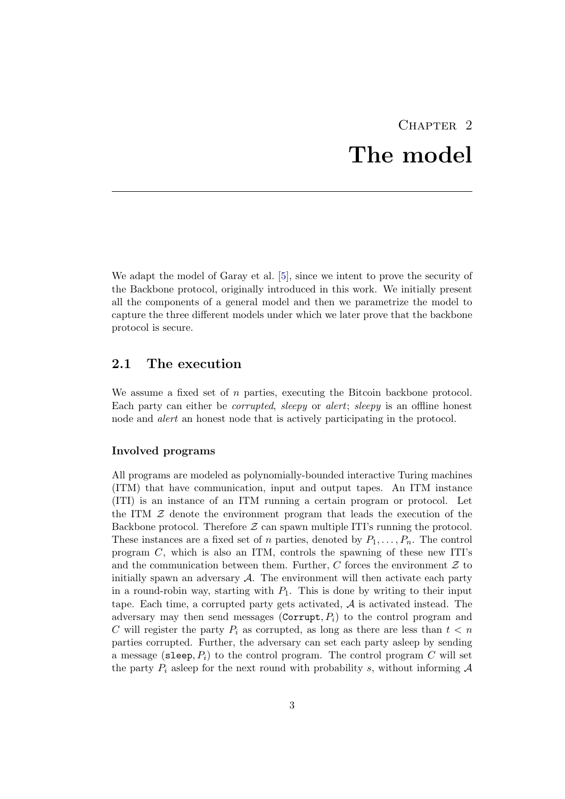# CHAPTER<sub>2</sub> The model

<span id="page-7-0"></span>We adapt the model of Garay et al. [\[5\]](#page-39-5), since we intent to prove the security of the Backbone protocol, originally introduced in this work. We initially present all the components of a general model and then we parametrize the model to capture the three different models under which we later prove that the backbone protocol is secure.

## <span id="page-7-1"></span>2.1 The execution

We assume a fixed set of n parties, executing the Bitcoin backbone protocol. Each party can either be corrupted, sleepy or alert; sleepy is an offline honest node and alert an honest node that is actively participating in the protocol.

#### Involved programs

All programs are modeled as polynomially-bounded interactive Turing machines (ITM) that have communication, input and output tapes. An ITM instance (ITI) is an instance of an ITM running a certain program or protocol. Let the ITM  $Z$  denote the environment program that leads the execution of the Backbone protocol. Therefore  $\mathcal Z$  can spawn multiple ITI's running the protocol. These instances are a fixed set of n parties, denoted by  $P_1, \ldots, P_n$ . The control program C, which is also an ITM, controls the spawning of these new ITI's and the communication between them. Further,  $C$  forces the environment  $\mathcal Z$  to initially spawn an adversary  $\mathcal{A}$ . The environment will then activate each party in a round-robin way, starting with  $P_1$ . This is done by writing to their input tape. Each time, a corrupted party gets activated,  $A$  is activated instead. The adversary may then send messages (Corrupt,  $P_i$ ) to the control program and C will register the party  $P_i$  as corrupted, as long as there are less than  $t < n$ parties corrupted. Further, the adversary can set each party asleep by sending a message (sleep,  $P_i$ ) to the control program. The control program C will set the party  $P_i$  asleep for the next round with probability s, without informing  $A$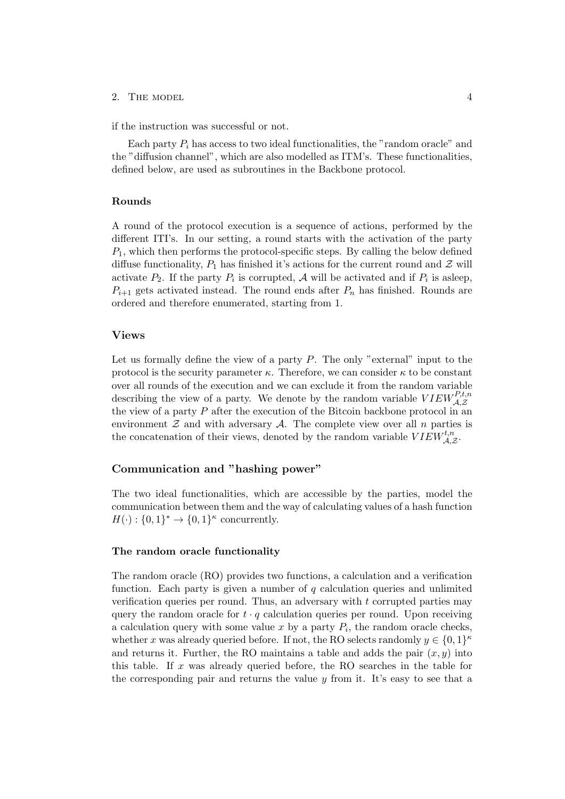#### 2. THE MODEL  $4$

if the instruction was successful or not.

Each party  $P_i$  has access to two ideal functionalities, the "random oracle" and the "diffusion channel", which are also modelled as ITM's. These functionalities, defined below, are used as subroutines in the Backbone protocol.

#### Rounds

A round of the protocol execution is a sequence of actions, performed by the different ITI's. In our setting, a round starts with the activation of the party  $P_1$ , which then performs the protocol-specific steps. By calling the below defined diffuse functionality,  $P_1$  has finished it's actions for the current round and  $\mathcal Z$  will activate  $P_2$ . If the party  $P_i$  is corrupted, A will be activated and if  $P_i$  is asleep,  $P_{i+1}$  gets activated instead. The round ends after  $P_n$  has finished. Rounds are ordered and therefore enumerated, starting from 1.

#### Views

Let us formally define the view of a party  $P$ . The only "external" input to the protocol is the security parameter  $\kappa$ . Therefore, we can consider  $\kappa$  to be constant over all rounds of the execution and we can exclude it from the random variable describing the view of a party. We denote by the random variable  $VIEW_{\mathcal{A},\mathcal{Z}}^{P,t,n}$ the view of a party  $P$  after the execution of the Bitcoin backbone protocol in an environment  $\mathcal Z$  and with adversary  $\mathcal A$ . The complete view over all n parties is the concatenation of their views, denoted by the random variable  $VIEW_{\mathcal{A},\mathcal{Z}}^{t,n}$ .

#### Communication and "hashing power"

The two ideal functionalities, which are accessible by the parties, model the communication between them and the way of calculating values of a hash function  $H(\cdot): \{0,1\}^* \to \{0,1\}^{\kappa}$  concurrently.

#### The random oracle functionality

The random oracle (RO) provides two functions, a calculation and a verification function. Each party is given a number of  $q$  calculation queries and unlimited verification queries per round. Thus, an adversary with t corrupted parties may query the random oracle for  $t \cdot q$  calculation queries per round. Upon receiving a calculation query with some value  $x$  by a party  $P_i$ , the random oracle checks, whether x was already queried before. If not, the RO selects randomly  $y \in \{0,1\}^{\kappa}$ and returns it. Further, the RO maintains a table and adds the pair  $(x, y)$  into this table. If x was already queried before, the RO searches in the table for the corresponding pair and returns the value  $y$  from it. It's easy to see that a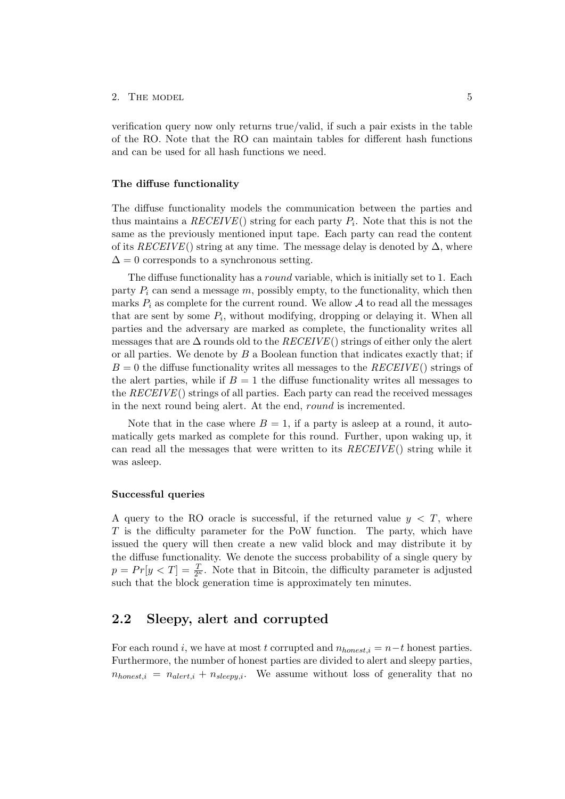#### 2. THE MODEL 5

verification query now only returns true/valid, if such a pair exists in the table of the RO. Note that the RO can maintain tables for different hash functions and can be used for all hash functions we need.

#### The diffuse functionality

The diffuse functionality models the communication between the parties and thus maintains a  $RECEIVE()$  string for each party  $P_i$ . Note that this is not the same as the previously mentioned input tape. Each party can read the content of its RECEIVE() string at any time. The message delay is denoted by  $\Delta$ , where  $\Delta = 0$  corresponds to a synchronous setting.

The diffuse functionality has a round variable, which is initially set to 1. Each party  $P_i$  can send a message  $m$ , possibly empty, to the functionality, which then marks  $P_i$  as complete for the current round. We allow  $A$  to read all the messages that are sent by some  $P_i$ , without modifying, dropping or delaying it. When all parties and the adversary are marked as complete, the functionality writes all messages that are  $\Delta$  rounds old to the  $RECEIVE()$  strings of either only the alert or all parties. We denote by  $B$  a Boolean function that indicates exactly that; if  $B = 0$  the diffuse functionality writes all messages to the  $RECEIVE()$  strings of the alert parties, while if  $B = 1$  the diffuse functionality writes all messages to the  $RECEIVE()$  strings of all parties. Each party can read the received messages in the next round being alert. At the end, round is incremented.

Note that in the case where  $B = 1$ , if a party is asleep at a round, it automatically gets marked as complete for this round. Further, upon waking up, it can read all the messages that were written to its  $RECEIVE()$  string while it was asleep.

#### Successful queries

A query to the RO oracle is successful, if the returned value  $y < T$ , where T is the difficulty parameter for the PoW function. The party, which have issued the query will then create a new valid block and may distribute it by the diffuse functionality. We denote the success probability of a single query by  $p = Pr[y < T] = \frac{T}{2^{k}}$ . Note that in Bitcoin, the difficulty parameter is adjusted such that the block generation time is approximately ten minutes.

### <span id="page-9-0"></span>2.2 Sleepy, alert and corrupted

For each round i, we have at most t corrupted and  $n_{honest,i} = n-t$  honest parties. Furthermore, the number of honest parties are divided to alert and sleepy parties,  $n_{honest,i} = n_{alert,i} + n_{sleepu,i}$ . We assume without loss of generality that no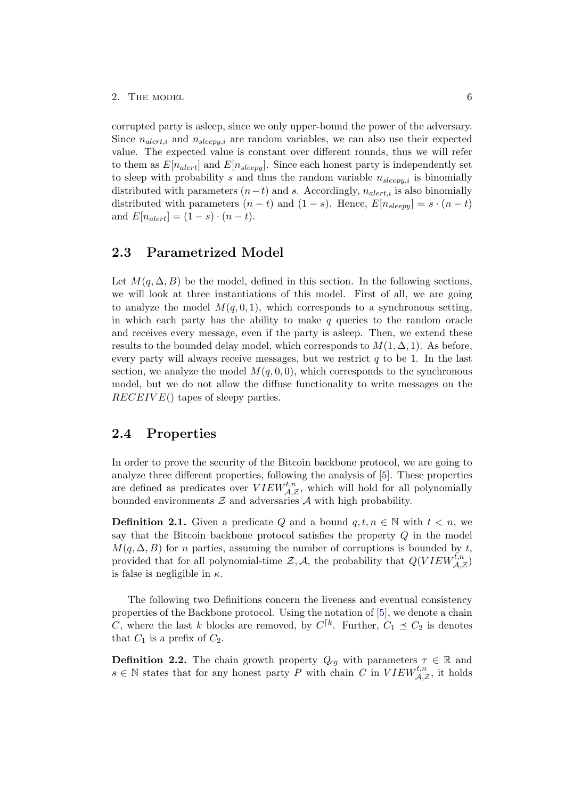corrupted party is asleep, since we only upper-bound the power of the adversary. Since  $n_{\text{alert},i}$  and  $n_{\text{sleep},i}$  are random variables, we can also use their expected value. The expected value is constant over different rounds, thus we will refer to them as  $E[n_{\text{alert}}]$  and  $E[n_{\text{sleepy}}]$ . Since each honest party is independently set to sleep with probability s and thus the random variable  $n_{sleepy,i}$  is binomially distributed with parameters  $(n-t)$  and s. Accordingly,  $n_{\text{alert},i}$  is also binomially distributed with parameters  $(n - t)$  and  $(1 - s)$ . Hence,  $E[n_{sleepy}] = s \cdot (n - t)$ and  $E[n_{\text{alert}}] = (1 - s) \cdot (n - t)$ .

## <span id="page-10-0"></span>2.3 Parametrized Model

Let  $M(q, \Delta, B)$  be the model, defined in this section. In the following sections, we will look at three instantiations of this model. First of all, we are going to analyze the model  $M(q, 0, 1)$ , which corresponds to a synchronous setting, in which each party has the ability to make  $q$  queries to the random oracle and receives every message, even if the party is asleep. Then, we extend these results to the bounded delay model, which corresponds to  $M(1, \Delta, 1)$ . As before, every party will always receive messages, but we restrict  $q$  to be 1. In the last section, we analyze the model  $M(q, 0, 0)$ , which corresponds to the synchronous model, but we do not allow the diffuse functionality to write messages on the  $RECEIVE()$  tapes of sleepy parties.

## <span id="page-10-1"></span>2.4 Properties

In order to prove the security of the Bitcoin backbone protocol, we are going to analyze three different properties, following the analysis of [\[5\]](#page-39-5). These properties are defined as predicates over  $VIEW_{\mathcal{A},\mathcal{Z}}^{t,n}$ , which will hold for all polynomially bounded environments  $\mathcal Z$  and adversaries  $\mathcal A$  with high probability.

**Definition 2.1.** Given a predicate Q and a bound  $q, t, n \in \mathbb{N}$  with  $t < n$ , we say that the Bitcoin backbone protocol satisfies the property  $Q$  in the model  $M(q, \Delta, B)$  for n parties, assuming the number of corruptions is bounded by t, provided that for all polynomial-time  $\mathcal{Z}, \mathcal{A}$ , the probability that  $Q(VIEW_{\mathcal{A}, \mathcal{Z}}^{t, n})$ is false is negligible in  $\kappa$ .

The following two Definitions concern the liveness and eventual consistency properties of the Backbone protocol. Using the notation of [\[5\]](#page-39-5), we denote a chain C, where the last k blocks are removed, by  $C^{k}$ . Further,  $C_1 \preceq C_2$  is denotes that  $C_1$  is a prefix of  $C_2$ .

**Definition 2.2.** The chain growth property  $Q_{cq}$  with parameters  $\tau \in \mathbb{R}$  and  $s \in \mathbb{N}$  states that for any honest party P with chain C in  $VIEW_{\mathcal{A},\mathcal{Z}}^{t,n}$ , it holds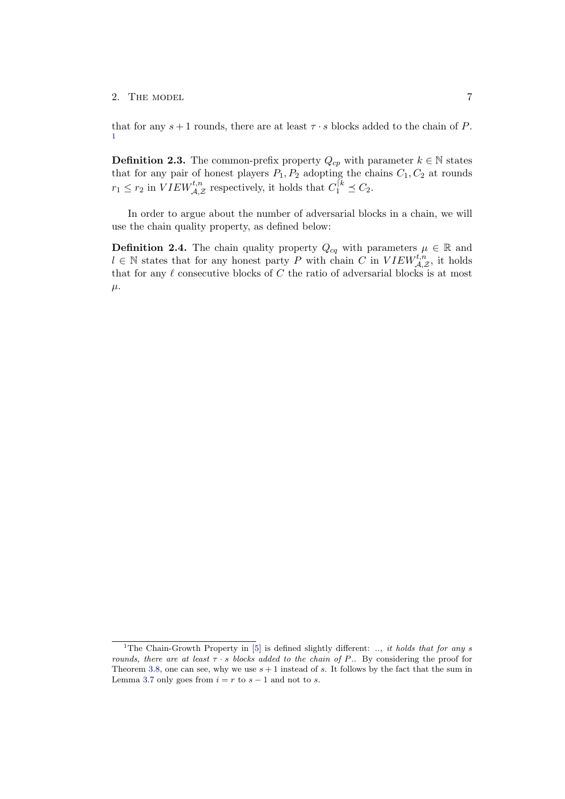#### 2. THE MODEL 7

that for any  $s+1$  rounds, there are at least  $\tau \cdot s$  blocks added to the chain of P. [1](#page-11-0)

**Definition 2.3.** The common-prefix property  $Q_{cp}$  with parameter  $k \in \mathbb{N}$  states that for any pair of honest players  $P_1, P_2$  adopting the chains  $C_1, C_2$  at rounds  $r_1 \leq r_2$  in  $VIEW_{\mathcal{A}, \mathcal{Z}}^{t, n}$  respectively, it holds that  $C_1^{[k]} \leq C_2$ .

In order to argue about the number of adversarial blocks in a chain, we will use the chain quality property, as defined below:

**Definition 2.4.** The chain quality property  $Q_{cq}$  with parameters  $\mu \in \mathbb{R}$  and  $l \in \mathbb{N}$  states that for any honest party P with chain C in  $VIEW_{\mathcal{A},\mathcal{Z}}^{t,n}$ , it holds that for any  $\ell$  consecutive blocks of C the ratio of adversarial blocks is at most  $\mu$ .

<span id="page-11-0"></span><sup>&</sup>lt;sup>1</sup>The Chain-Growth Property in [\[5\]](#page-39-5) is defined slightly different: .., it holds that for any s rounds, there are at least  $\tau \cdot s$  blocks added to the chain of P.. By considering the proof for Theorem [3.8,](#page-18-1) one can see, why we use  $s + 1$  instead of s. It follows by the fact that the sum in Lemma [3.7](#page-17-1) only goes from  $i = r$  to  $s - 1$  and not to s.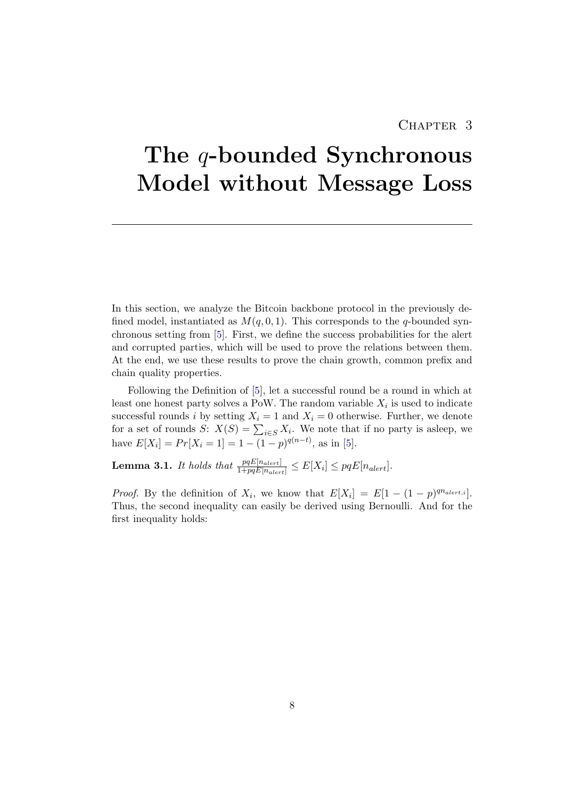## CHAPTER 3

# <span id="page-12-0"></span>The *q*-bounded Synchronous Model without Message Loss

In this section, we analyze the Bitcoin backbone protocol in the previously defined model, instantiated as  $M(q, 0, 1)$ . This corresponds to the q-bounded synchronous setting from [\[5\]](#page-39-5). First, we define the success probabilities for the alert and corrupted parties, which will be used to prove the relations between them. At the end, we use these results to prove the chain growth, common prefix and chain quality properties.

Following the Definition of [\[5\]](#page-39-5), let a successful round be a round in which at least one honest party solves a PoW. The random variable  $X_i$  is used to indicate successful rounds i by setting  $X_i = 1$  and  $X_i = 0$  otherwise. Further, we denote for a set of rounds S:  $X(S) = \sum_{i \in S} X_i$ . We note that if no party is asleep, we have  $E[X_i] = Pr[X_i = 1] = 1 - (1 - p)^{q(n-t)}$ , as in [\[5\]](#page-39-5).

<span id="page-12-1"></span>**Lemma 3.1.** It holds that  $\frac{pqE[n_{alert}]}{1+pqE[n_{alert}]} \leq E[X_i] \leq pqE[n_{alert}].$ 

*Proof.* By the definition of  $X_i$ , we know that  $E[X_i] = E[1 - (1 - p)^{qn_{\text{alert},i}}]$ . Thus, the second inequality can easily be derived using Bernoulli. And for the first inequality holds: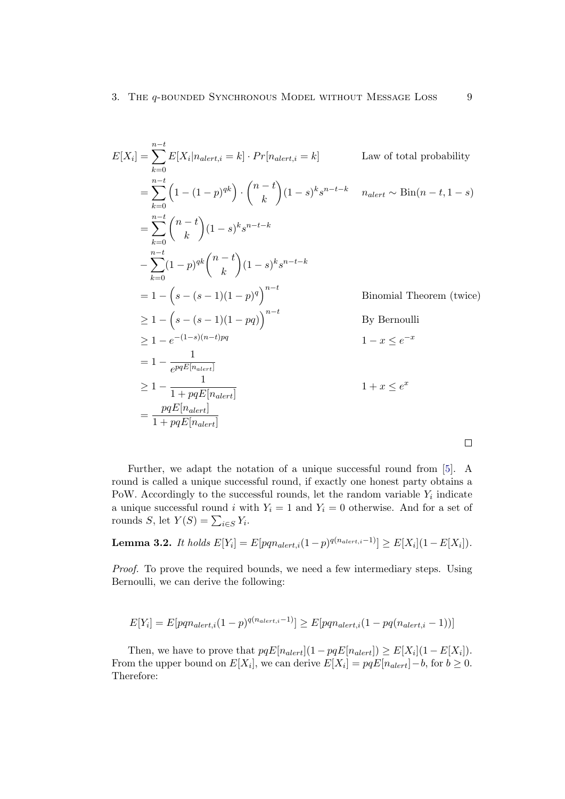$$
E[X_i] = \sum_{k=0}^{n-t} E[X_i | n_{dert,i} = k] \cdot Pr[n_{dert,i} = k]
$$
  
\n
$$
= \sum_{k=0}^{n-t} \left(1 - (1-p)^{qk}\right) \cdot \binom{n-t}{k} (1-s)^k s^{n-t-k} \quad n_{dert} \sim Bin(n-t, 1-s)
$$
  
\n
$$
= \sum_{k=0}^{n-t} \binom{n-t}{k} (1-s)^k s^{n-t-k}
$$
  
\n
$$
- \sum_{k=0}^{n-t} (1-p)^{qk} \binom{n-t}{k} (1-s)^k s^{n-t-k}
$$
  
\n
$$
= 1 - \left(s - (s-1)(1-p)^q\right)^{n-t}
$$
  
\n
$$
\ge 1 - \left(s - (s-1)(1-pq)\right)^{n-t}
$$
  
\n
$$
\ge 1 - e^{-(1-s)(n-t)pq}
$$
  
\n
$$
\ge 1 - e^{-(1-s)(n-t)pq}
$$
  
\n
$$
= 1 - \frac{1}{epqE[n_{dert}]}
$$
  
\n
$$
\ge 1 - \frac{1}{1 + pqE[n_{dert}]}
$$
  
\n
$$
= \frac{pqE[n_{dert}]}{1 + pqE[n_{dert}]}
$$
  
\n
$$
\square
$$

Further, we adapt the notation of a unique successful round from [\[5\]](#page-39-5). A round is called a unique successful round, if exactly one honest party obtains a PoW. Accordingly to the successful rounds, let the random variable  $Y_i$  indicate a unique successful round i with  $Y_i = 1$  and  $Y_i = 0$  otherwise. And for a set of rounds S, let  $Y(S) = \sum_{i \in S} Y_i$ .

<span id="page-13-0"></span>**Lemma 3.2.** It holds  $E[Y_i] = E[pqn_{alert,i}(1-p)^{q(n_{alert,i}-1)}] \ge E[X_i](1-E[X_i]).$ 

Proof. To prove the required bounds, we need a few intermediary steps. Using Bernoulli, we can derive the following:

$$
E[Y_i] = E[pqn_{alert,i}(1-p)^{q(n_{alert,i}-1)}] \ge E[pqn_{alert,i}(1-pq(n_{alert,i}-1))]
$$

Then, we have to prove that  $pqE[n_{alert}](1-pqE[n_{alert}]) \geq E[X_i](1-E[X_i]).$ From the upper bound on  $E[X_i]$ , we can derive  $E[X_i] = pqE[n_{alert}] - b$ , for  $b \ge 0$ . Therefore: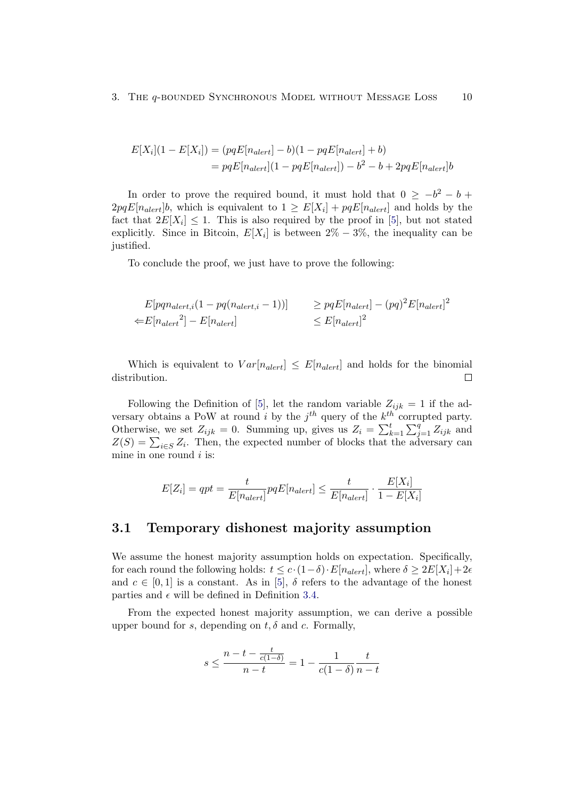$$
E[X_i](1 - E[X_i]) = (pqE[n_{alert}] - b)(1 - pqE[n_{alert}] + b)
$$
  
=  $pqE[n_{alert}](1 - pqE[n_{alert}]) - b^2 - b + 2pqE[n_{alert}]b$ 

In order to prove the required bound, it must hold that  $0 \geq -b^2 - b$  $2pqE[n_{alert}]b$ , which is equivalent to  $1 \geq E[X_i] + pqE[n_{alert}]$  and holds by the fact that  $2E[X_i] \leq 1$ . This is also required by the proof in [\[5\]](#page-39-5), but not stated explicitly. Since in Bitcoin,  $E[X_i]$  is between  $2\% - 3\%$ , the inequality can be justified.

To conclude the proof, we just have to prove the following:

$$
E[pqn_{alert,i}(1 - pq(n_{alert,i} - 1))] \ge pqE[n_{alert}] - (pq)^2E[n_{alert}]^2
$$
  

$$
\Leftarrow E[n_{alert}^2] - E[n_{alert}] \le E[n_{alert}]^2
$$

Which is equivalent to  $Var[n_{\text{alert}}] \leq E[n_{\text{alert}}]$  and holds for the binomial distribution.  $\Box$ 

Following the Definition of [\[5\]](#page-39-5), let the random variable  $Z_{ijk} = 1$  if the adversary obtains a PoW at round i by the  $j<sup>th</sup>$  query of the  $k<sup>th</sup>$  corrupted party. Otherwise, we set  $Z_{ijk} = 0$ . Summing up, gives us  $Z_i = \sum_{k=1}^{t} \sum_{j=1}^{q} Z_{ijk}$  and  $Z(S) = \sum_{i \in S} Z_i$ . Then, the expected number of blocks that the adversary can mine in one round  $i$  is:

$$
E[Z_i] = qpt = \frac{t}{E[n_{alert}]} pqE[n_{alert}] \le \frac{t}{E[n_{alert}]} \cdot \frac{E[X_i]}{1 - E[X_i]}
$$

## <span id="page-14-0"></span>3.1 Temporary dishonest majority assumption

We assume the honest majority assumption holds on expectation. Specifically, for each round the following holds:  $t \leq c \cdot (1-\delta) \cdot E[n_{alert}]$ , where  $\delta \geq 2E[X_i]+2\epsilon$ and  $c \in [0, 1]$  is a constant. As in [\[5\]](#page-39-5),  $\delta$  refers to the advantage of the honest parties and  $\epsilon$  will be defined in Definition [3.4.](#page-15-1)

From the expected honest majority assumption, we can derive a possible upper bound for s, depending on  $t, \delta$  and c. Formally,

$$
s \leq \frac{n-t-\frac{t}{c(1-\delta)}}{n-t} = 1 - \frac{1}{c(1-\delta)}\frac{t}{n-t}
$$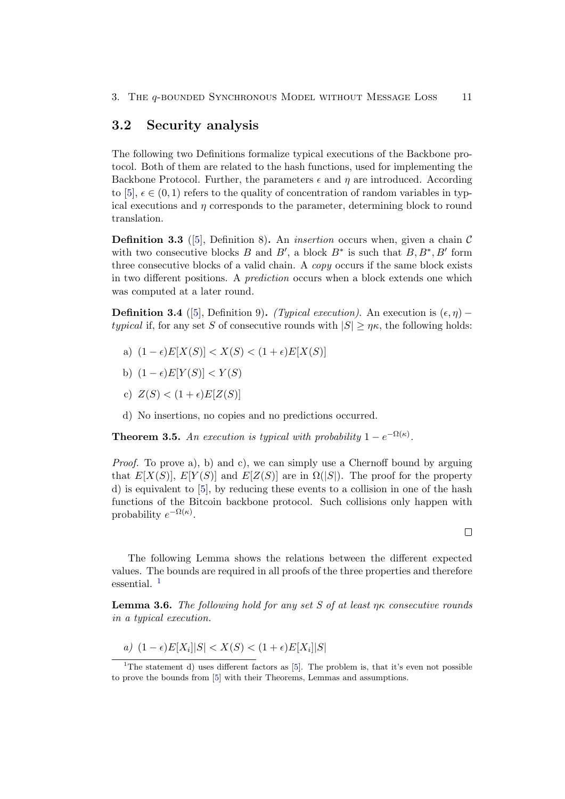#### <span id="page-15-0"></span>3.2 Security analysis

The following two Definitions formalize typical executions of the Backbone protocol. Both of them are related to the hash functions, used for implementing the Backbone Protocol. Further, the parameters  $\epsilon$  and  $\eta$  are introduced. According to [\[5\]](#page-39-5),  $\epsilon \in (0, 1)$  refers to the quality of concentration of random variables in typical executions and  $\eta$  corresponds to the parameter, determining block to round translation.

**Definition 3.3** ([\[5\]](#page-39-5), Definition 8). An *insertion* occurs when, given a chain  $\mathcal{C}$ with two consecutive blocks B and B', a block  $B^*$  is such that  $B, B^*, B'$  form three consecutive blocks of a valid chain. A copy occurs if the same block exists in two different positions. A prediction occurs when a block extends one which was computed at a later round.

<span id="page-15-1"></span>**Definition 3.4** ([\[5\]](#page-39-5), Definition 9). (Typical execution). An execution is  $(\epsilon, \eta)$  – typical if, for any set S of consecutive rounds with  $|S| \geq \eta \kappa$ , the following holds:

- a)  $(1 \epsilon)E[X(S)] < X(S) < (1 + \epsilon)E[X(S)]$
- b)  $(1 \epsilon)E[Y(S)] < Y(S)$
- c)  $Z(S) < (1+\epsilon)E[Z(S)]$
- d) No insertions, no copies and no predictions occurred.

<span id="page-15-4"></span>**Theorem 3.5.** An execution is typical with probability  $1 - e^{-\Omega(\kappa)}$ .

*Proof.* To prove a), b) and c), we can simply use a Chernoff bound by arguing that  $E[X(S)]$ ,  $E[Y(S)]$  and  $E[Z(S)]$  are in  $\Omega(|S|)$ . The proof for the property d) is equivalent to [\[5\]](#page-39-5), by reducing these events to a collision in one of the hash functions of the Bitcoin backbone protocol. Such collisions only happen with probability  $e^{-\Omega(\kappa)}$ .

The following Lemma shows the relations between the different expected values. The bounds are required in all proofs of the three properties and therefore essential.<sup>[1](#page-15-2)</sup>

<span id="page-15-3"></span>**Lemma 3.6.** The following hold for any set S of at least  $\eta\kappa$  consecutive rounds in a typical execution.

a)  $(1 - \epsilon)E[X_i]|S| < X(S) < (1 + \epsilon)E[X_i]|S|$ 

 $\Box$ 

<span id="page-15-2"></span><sup>&</sup>lt;sup>1</sup>The statement d) uses different factors as [\[5\]](#page-39-5). The problem is, that it's even not possible to prove the bounds from [\[5\]](#page-39-5) with their Theorems, Lemmas and assumptions.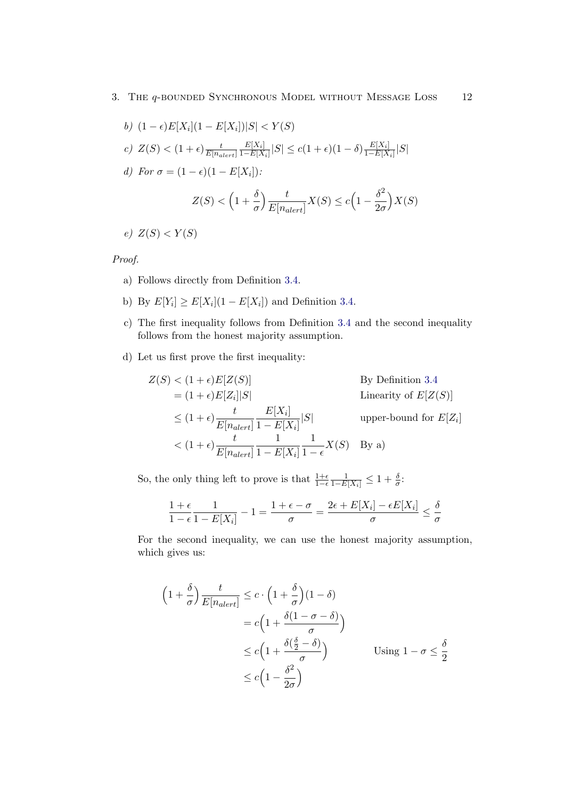$$
b) \ (1 - \epsilon)E[X_i](1 - E[X_i])|S| < Y(S)
$$
\n
$$
c) \ Z(S) < (1 + \epsilon) \frac{t}{E[n_{\text{alert}}]} \frac{E[X_i]}{1 - E[X_i]} |S| \le c(1 + \epsilon)(1 - \delta) \frac{E[X_i]}{1 - E[X_i]} |S|
$$
\n
$$
d) \ \text{For } \sigma = (1 - \epsilon)(1 - E[X_i]):
$$
\n
$$
Z(S) < \left(1 + \frac{\delta}{\sigma}\right) \frac{t}{E[n_{\text{alert}}]} X(S) \le c \left(1 - \frac{\delta^2}{2\sigma}\right) X(S)
$$

e)  $Z(S) < Y(S)$ 

Proof.

- a) Follows directly from Definition [3.4.](#page-15-1)
- b) By  $E[Y_i] \ge E[X_i](1 E[X_i])$  and Definition [3.4.](#page-15-1)
- c) The first inequality follows from Definition [3.4](#page-15-1) and the second inequality follows from the honest majority assumption.
- d) Let us first prove the first inequality:

$$
Z(S) < (1 + \epsilon)E[Z(S)] \qquad \text{By Definition 3.4}
$$
\n
$$
= (1 + \epsilon)E[Z_i]|S| \qquad \text{Linearity of } E[Z(S)]
$$
\n
$$
\leq (1 + \epsilon) \frac{t}{E[n_{\text{alert}}]} \frac{E[X_i]}{1 - E[X_i]} |S| \qquad \text{upper-bound for } E[Z_i]
$$
\n
$$
< (1 + \epsilon) \frac{t}{E[n_{\text{alert}}]} \frac{1}{1 - E[X_i]} \frac{1}{1 - \epsilon} X(S) \qquad \text{By a})
$$

So, the only thing left to prove is that  $\frac{1+\epsilon}{1-\epsilon} \frac{1}{1-E[X_i]} \leq 1+\frac{\delta}{\sigma}$ :

$$
\frac{1+\epsilon}{1-\epsilon}\frac{1}{1-E[X_i]}-1=\frac{1+\epsilon-\sigma}{\sigma}=\frac{2\epsilon+E[X_i]-\epsilon E[X_i]}{\sigma}\leq \frac{\delta}{\sigma}
$$

For the second inequality, we can use the honest majority assumption, which gives us:

$$
\left(1 + \frac{\delta}{\sigma}\right) \frac{t}{E[n_{alert}]} \leq c \cdot \left(1 + \frac{\delta}{\sigma}\right)(1 - \delta)
$$

$$
= c\left(1 + \frac{\delta(1 - \sigma - \delta)}{\sigma}\right)
$$

$$
\leq c\left(1 + \frac{\delta(\frac{\delta}{2} - \delta)}{\sigma}\right) \qquad \text{Using } 1 - \sigma \leq \frac{\delta}{2}
$$

$$
\leq c\left(1 - \frac{\delta^2}{2\sigma}\right)
$$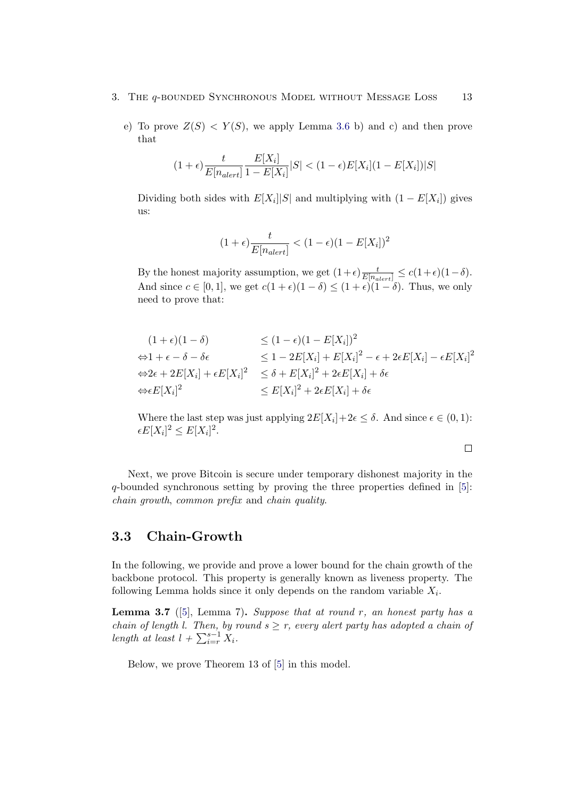- 3. The q-bounded Synchronous Model without Message Loss 13
	- e) To prove  $Z(S) < Y(S)$ , we apply Lemma [3.6](#page-15-3) b) and c) and then prove that

$$
(1+\epsilon)\frac{t}{E[n_{alert}]} \frac{E[X_i]}{1-E[X_i]}|S| < (1-\epsilon)E[X_i](1-E[X_i])|S|
$$

Dividing both sides with  $E[X_i]|S|$  and multiplying with  $(1 - E[X_i])$  gives us:

$$
(1+\epsilon)\frac{t}{E[n_{alert}]} < (1-\epsilon)(1-E[X_i])^2
$$

By the honest majority assumption, we get  $(1+\epsilon)\frac{t}{E[n_{alert}]} \leq c(1+\epsilon)(1-\delta)$ . And since  $c \in [0, 1]$ , we get  $c(1 + \epsilon)(1 - \delta) \le (1 + \epsilon)(1 - \delta)$ . Thus, we only need to prove that:

$$
(1 + \epsilon)(1 - \delta) \le (1 - \epsilon)(1 - E[X_i])^2
$$
  
\n
$$
\Leftrightarrow 1 + \epsilon - \delta - \delta\epsilon \le 1 - 2E[X_i] + E[X_i]^2 - \epsilon + 2\epsilon E[X_i] - \epsilon E[X_i]^2
$$
  
\n
$$
\Leftrightarrow 2\epsilon + 2E[X_i] + \epsilon E[X_i]^2 \le \delta + E[X_i]^2 + 2\epsilon E[X_i] + \delta\epsilon
$$
  
\n
$$
\Leftrightarrow \epsilon E[X_i]^2 \le E[X_i]^2 + 2\epsilon E[X_i] + \delta\epsilon
$$

Where the last step was just applying  $2E[X_i]+2\epsilon \leq \delta$ . And since  $\epsilon \in (0,1)$ :  $\epsilon E[X_i]^2 \leq E[X_i]^2.$ 

 $\Box$ 

Next, we prove Bitcoin is secure under temporary dishonest majority in the q-bounded synchronous setting by proving the three properties defined in [\[5\]](#page-39-5): chain growth, common prefix and chain quality.

## <span id="page-17-0"></span>3.3 Chain-Growth

In the following, we provide and prove a lower bound for the chain growth of the backbone protocol. This property is generally known as liveness property. The following Lemma holds since it only depends on the random variable  $X_i$ .

<span id="page-17-1"></span>**Lemma 3.7** ([\[5\]](#page-39-5), Lemma 7). Suppose that at round r, an honest party has a chain of length l. Then, by round  $s \geq r$ , every alert party has adopted a chain of length at least  $l + \sum_{i=r}^{s-1} X_i$ .

Below, we prove Theorem 13 of [\[5\]](#page-39-5) in this model.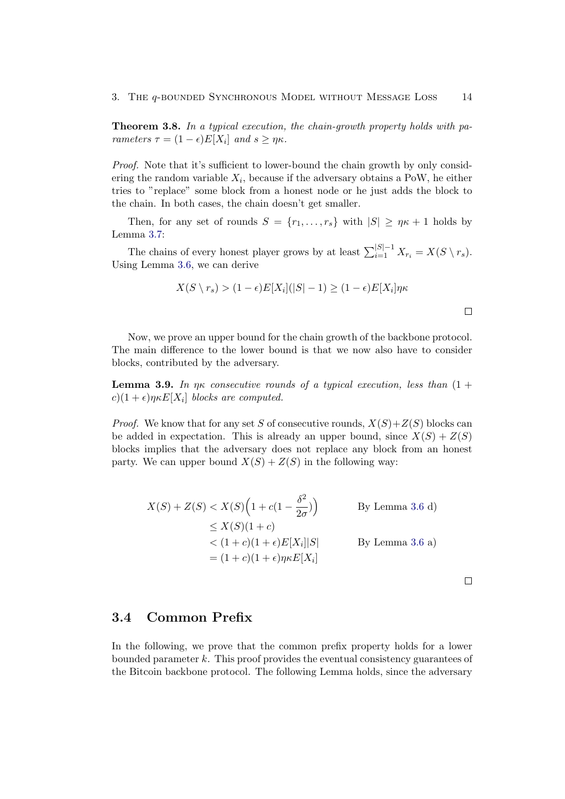<span id="page-18-1"></span>Theorem 3.8. In a typical execution, the chain-growth property holds with parameters  $\tau = (1 - \epsilon)E[X_i]$  and  $s \geq \eta \kappa$ .

Proof. Note that it's sufficient to lower-bound the chain growth by only considering the random variable  $X_i$ , because if the adversary obtains a PoW, he either tries to "replace" some block from a honest node or he just adds the block to the chain. In both cases, the chain doesn't get smaller.

Then, for any set of rounds  $S = \{r_1, \ldots, r_s\}$  with  $|S| \geq \eta \kappa + 1$  holds by Lemma [3.7:](#page-17-1)

The chains of every honest player grows by at least  $\sum_{i=1}^{|S|-1} X_{r_i} = X(S \setminus r_s)$ . Using Lemma [3.6,](#page-15-3) we can derive

$$
X(S \setminus r_s) > (1 - \epsilon)E[X_i](|S| - 1) \geq (1 - \epsilon)E[X_i]\eta\kappa
$$

Now, we prove an upper bound for the chain growth of the backbone protocol. The main difference to the lower bound is that we now also have to consider blocks, contributed by the adversary.

<span id="page-18-2"></span>**Lemma 3.9.** In  $\eta \kappa$  consecutive rounds of a typical execution, less than  $(1 +$  $c(1+\epsilon)\eta\kappa E[X_i]$  blocks are computed.

*Proof.* We know that for any set S of consecutive rounds,  $X(S) + Z(S)$  blocks can be added in expectation. This is already an upper bound, since  $X(S) + Z(S)$ blocks implies that the adversary does not replace any block from an honest party. We can upper bound  $X(S) + Z(S)$  in the following way:

$$
X(S) + Z(S) < X(S) \left( 1 + c(1 - \frac{\delta^2}{2\sigma}) \right) \qquad \text{By Lemma 3.6 d)}
$$
\n
$$
\leq X(S)(1 + c)
$$
\n
$$
< (1 + c)(1 + \epsilon)E[X_i]|S| \qquad \text{By Lemma 3.6 a)}
$$
\n
$$
= (1 + c)(1 + \epsilon)\eta \kappa E[X_i]
$$

 $\Box$ 

## <span id="page-18-0"></span>3.4 Common Prefix

In the following, we prove that the common prefix property holds for a lower bounded parameter  $k$ . This proof provides the eventual consistency guarantees of the Bitcoin backbone protocol. The following Lemma holds, since the adversary

 $\Box$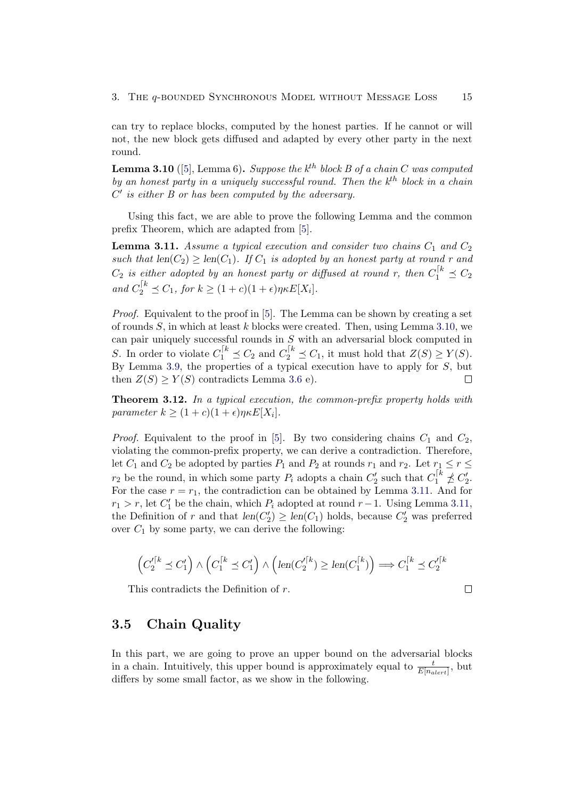can try to replace blocks, computed by the honest parties. If he cannot or will not, the new block gets diffused and adapted by every other party in the next round.

<span id="page-19-1"></span>**Lemma 3.10** ([\[5\]](#page-39-5), Lemma 6). Suppose the  $k^{th}$  block B of a chain C was computed by an honest party in a uniquely successful round. Then the  $k^{th}$  block in a chain  $C'$  is either  $B$  or has been computed by the adversary.

Using this fact, we are able to prove the following Lemma and the common prefix Theorem, which are adapted from [\[5\]](#page-39-5).

<span id="page-19-2"></span>**Lemma 3.11.** Assume a typical execution and consider two chains  $C_1$  and  $C_2$ such that  $len(C_2) \geq len(C_1)$ . If  $C_1$  is adopted by an honest party at round r and  $C_2$  is either adopted by an honest party or diffused at round r, then  $C_1^{k} \preceq C_2$ and  $C_2^{k} \preceq C_1$ , for  $k \geq (1+c)(1+\epsilon)\eta \kappa E[X_i]$ .

Proof. Equivalent to the proof in [\[5\]](#page-39-5). The Lemma can be shown by creating a set of rounds  $S$ , in which at least k blocks were created. Then, using Lemma [3.10,](#page-19-1) we can pair uniquely successful rounds in S with an adversarial block computed in S. In order to violate  $C_1^{[k]} \preceq C_2$  and  $C_2^{[k]} \preceq C_1$ , it must hold that  $Z(S) \geq Y(S)$ . By Lemma [3.9,](#page-18-2) the properties of a typical execution have to apply for  $S$ , but then  $Z(S) \geq Y(S)$  contradicts Lemma [3.6](#page-15-3) e).  $\Box$ 

<span id="page-19-3"></span>Theorem 3.12. In a typical execution, the common-prefix property holds with parameter  $k \geq (1+c)(1+\epsilon)\eta \kappa E[X_i].$ 

*Proof.* Equivalent to the proof in [\[5\]](#page-39-5). By two considering chains  $C_1$  and  $C_2$ , violating the common-prefix property, we can derive a contradiction. Therefore, let  $C_1$  and  $C_2$  be adopted by parties  $P_1$  and  $P_2$  at rounds  $r_1$  and  $r_2$ . Let  $r_1 \le r \le$  $r_2$  be the round, in which some party  $P_i$  adopts a chain  $C'_2$  such that  $C_1^{[k]} \nleq C'_2$ . For the case  $r = r_1$ , the contradiction can be obtained by Lemma [3.11.](#page-19-2) And for  $r_1 > r$ , let  $C'_1$  be the chain, which  $P_i$  adopted at round  $r-1$ . Using Lemma [3.11,](#page-19-2) the Definition of r and that  $len(C'_2) \geq len(C_1)$  holds, because  $C'_2$  was preferred over  $C_1$  by some party, we can derive the following:

$$
\left(C_2^{\prime\lceil k} \preceq C_1'\right) \wedge \left(C_1^{\lceil k} \preceq C_1'\right) \wedge \left(\text{len}(C_2^{\prime\lceil k}) \ge \text{len}(C_1^{\lceil k})\right) \Longrightarrow C_1^{\lceil k} \preceq C_2^{\prime\lceil k}
$$

This contradicts the Definition of r.

$$
\Box
$$

### <span id="page-19-0"></span>3.5 Chain Quality

In this part, we are going to prove an upper bound on the adversarial blocks in a chain. Intuitively, this upper bound is approximately equal to  $\frac{t}{E[n_{\text{aler}t}]}$ , but differs by some small factor, as we show in the following.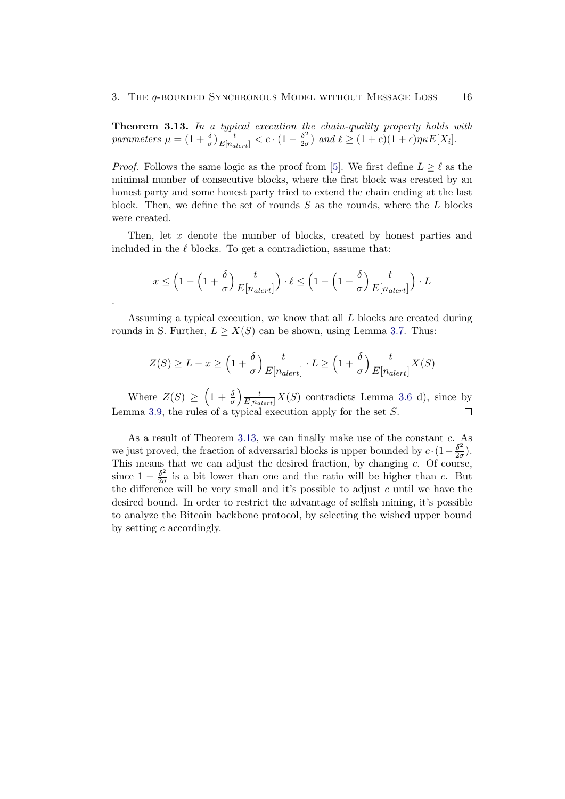<span id="page-20-0"></span>Theorem 3.13. In a typical execution the chain-quality property holds with parameters  $\mu = (1 + \frac{\delta}{\sigma}) \frac{t}{E[n_{\text{aler}t}]} < c \cdot (1 - \frac{\delta^2}{2\sigma})$  $\frac{\partial^2}{\partial \sigma}$  and  $\ell \ge (1+c)(1+\epsilon)\eta \kappa E[X_i].$ 

*Proof.* Follows the same logic as the proof from [\[5\]](#page-39-5). We first define  $L \geq \ell$  as the minimal number of consecutive blocks, where the first block was created by an honest party and some honest party tried to extend the chain ending at the last block. Then, we define the set of rounds  $S$  as the rounds, where the  $L$  blocks were created.

Then, let x denote the number of blocks, created by honest parties and included in the  $\ell$  blocks. To get a contradiction, assume that:

$$
x \le \left(1 - \left(1 + \frac{\delta}{\sigma}\right) \frac{t}{E[n_{\text{alert}}]}\right) \cdot \ell \le \left(1 - \left(1 + \frac{\delta}{\sigma}\right) \frac{t}{E[n_{\text{alert}}]}\right) \cdot L
$$

.

Assuming a typical execution, we know that all  $L$  blocks are created during rounds in S. Further,  $L \geq X(S)$  can be shown, using Lemma [3.7.](#page-17-1) Thus:

$$
Z(S) \ge L - x \ge \left(1 + \frac{\delta}{\sigma}\right) \frac{t}{E[n_{alert}]} \cdot L \ge \left(1 + \frac{\delta}{\sigma}\right) \frac{t}{E[n_{alert}]} X(S)
$$

Where  $Z(S) \geq \left(1 + \frac{\delta}{\sigma}\right) \frac{t}{E[n_{alert}]} X(S)$  contradicts Lemma [3.6](#page-15-3) d), since by Lemma [3.9,](#page-18-2) the rules of a typical execution apply for the set S.

As a result of Theorem [3.13,](#page-20-0) we can finally make use of the constant c. As we just proved, the fraction of adversarial blocks is upper bounded by  $c \cdot (1 - \frac{\delta^2}{2c})$  $\frac{\partial^2}{\partial \sigma}$ ). This means that we can adjust the desired fraction, by changing  $c$ . Of course, since  $1 - \frac{\delta^2}{2g}$  $\frac{\partial^2}{\partial \sigma}$  is a bit lower than one and the ratio will be higher than c. But the difference will be very small and it's possible to adjust  $c$  until we have the desired bound. In order to restrict the advantage of selfish mining, it's possible to analyze the Bitcoin backbone protocol, by selecting the wished upper bound by setting  $c$  accordingly.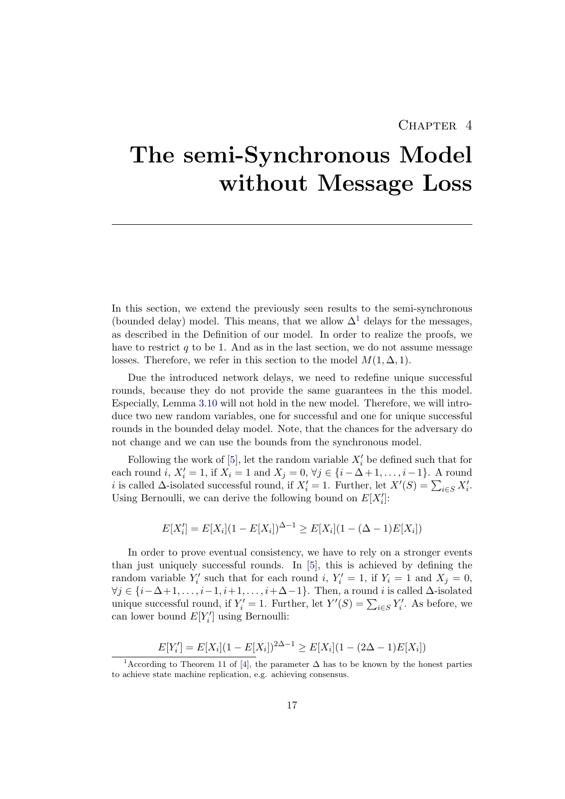## CHAPTER 4

# <span id="page-21-0"></span>The semi-Synchronous Model without Message Loss

In this section, we extend the previously seen results to the semi-synchronous (bounded delay) model. This means, that we allow  $\Delta^1$  $\Delta^1$  delays for the messages, as described in the Definition of our model. In order to realize the proofs, we have to restrict  $q$  to be 1. And as in the last section, we do not assume message losses. Therefore, we refer in this section to the model  $M(1, \Delta, 1)$ .

Due the introduced network delays, we need to redefine unique successful rounds, because they do not provide the same guarantees in the this model. Especially, Lemma [3.10](#page-19-1) will not hold in the new model. Therefore, we will introduce two new random variables, one for successful and one for unique successful rounds in the bounded delay model. Note, that the chances for the adversary do not change and we can use the bounds from the synchronous model.

Following the work of [\[5\]](#page-39-5), let the random variable  $X_i'$  be defined such that for each round *i*,  $X'_i = 1$ , if  $X_i = 1$  and  $X_j = 0$ ,  $\forall j \in \{i - \Delta + 1, \ldots, i - 1\}$ . A round i is called  $\Delta$ -isolated successful round, if  $X_i' = 1$ . Further, let  $X'(S) = \sum_{i \in S} X_i'$ . Using Bernoulli, we can derive the following bound on  $E[X'_i]$ :

$$
E[X'_i] = E[X_i](1 - E[X_i])^{\Delta - 1} \ge E[X_i](1 - (\Delta - 1)E[X_i])
$$

In order to prove eventual consistency, we have to rely on a stronger events than just uniquely successful rounds. In [\[5\]](#page-39-5), this is achieved by defining the random variable  $Y'_i$  such that for each round i,  $Y'_i = 1$ , if  $Y_i = 1$  and  $X_j = 0$ ,  $\forall j \in \{i-\Delta+1,\ldots,i-1,i+1,\ldots,i+\Delta-1\}$ . Then, a round i is called  $\Delta$ -isolated unique successful round, if  $Y_i' = 1$ . Further, let  $Y'(S) = \sum_{i \in S} Y_i'$ . As before, we can lower bound  $E[Y'_i]$  using Bernoulli:

$$
E[Y'_i] = E[X_i](1 - E[X_i])^{2\Delta - 1} \ge E[X_i](1 - (2\Delta - 1)E[X_i])
$$

<span id="page-21-1"></span><sup>&</sup>lt;sup>1</sup>According to Theorem 11 of [\[4\]](#page-39-4), the parameter  $\Delta$  has to be known by the honest parties to achieve state machine replication, e.g. achieving consensus.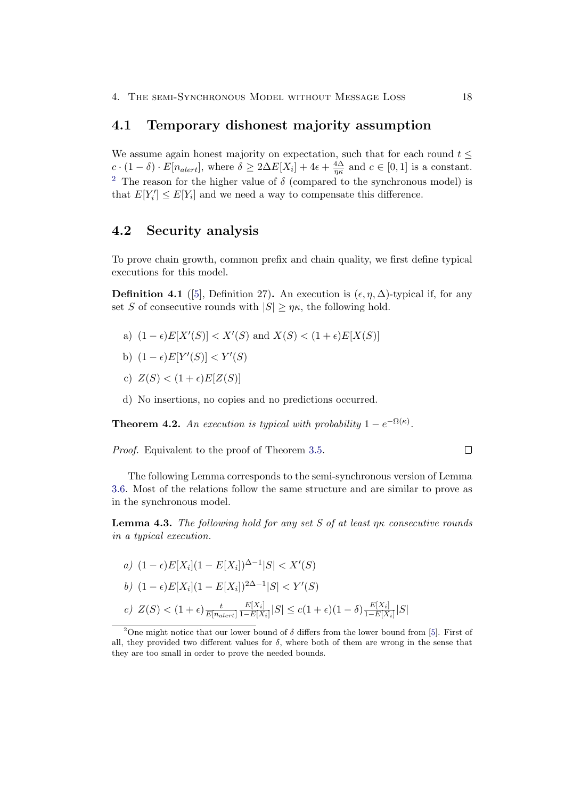#### <span id="page-22-0"></span>4.1 Temporary dishonest majority assumption

We assume again honest majority on expectation, such that for each round  $t \leq$  $c \cdot (1 - \delta) \cdot E[n_{\text{aler}t}],$  where  $\delta \geq 2\Delta E[X_i] + 4\epsilon + \frac{4\Delta}{n\kappa}$  $rac{4\Delta}{\eta\kappa}$  and  $c \in [0,1]$  is a constant. <sup>[2](#page-22-2)</sup> The reason for the higher value of  $\delta$  (compared to the synchronous model) is that  $E[Y'_i] \leq E[Y_i]$  and we need a way to compensate this difference.

## <span id="page-22-1"></span>4.2 Security analysis

To prove chain growth, common prefix and chain quality, we first define typical executions for this model.

<span id="page-22-3"></span>**Definition 4.1** ([\[5\]](#page-39-5), Definition 27). An execution is  $(\epsilon, \eta, \Delta)$ -typical if, for any set S of consecutive rounds with  $|S| \ge \eta \kappa$ , the following hold.

- a)  $(1 \epsilon)E[X'(S)] < X'(S)$  and  $X(S) < (1 + \epsilon)E[X(S)]$
- b)  $(1 \epsilon)E[Y'(S)] < Y'(S)$
- c)  $Z(S) < (1 + \epsilon)E[Z(S)]$
- d) No insertions, no copies and no predictions occurred.

**Theorem 4.2.** An execution is typical with probability  $1 - e^{-\Omega(\kappa)}$ .

Proof. Equivalent to the proof of Theorem [3.5.](#page-15-4)

The following Lemma corresponds to the semi-synchronous version of Lemma [3.6.](#page-15-3) Most of the relations follow the same structure and are similar to prove as in the synchronous model.

<span id="page-22-4"></span>**Lemma 4.3.** The following hold for any set S of at least  $\eta\kappa$  consecutive rounds in a typical execution.

a) 
$$
(1 - \epsilon)E[X_i](1 - E[X_i])^{\Delta - 1}|S| < X'(S)
$$
  
\nb)  $(1 - \epsilon)E[X_i](1 - E[X_i])^{2\Delta - 1}|S| < Y'(S)$   
\nc)  $Z(S) < (1 + \epsilon) \frac{t}{E[n_{\text{alert}}]} \frac{E[X_i]}{1 - E[X_i]}|S| \le c(1 + \epsilon)(1 - \delta) \frac{E[X_i]}{1 - E[X_i]}|S|$ 

 $\Box$ 

<span id="page-22-2"></span><sup>&</sup>lt;sup>2</sup>One might notice that our lower bound of  $\delta$  differs from the lower bound from [\[5\]](#page-39-5). First of all, they provided two different values for  $\delta$ , where both of them are wrong in the sense that they are too small in order to prove the needed bounds.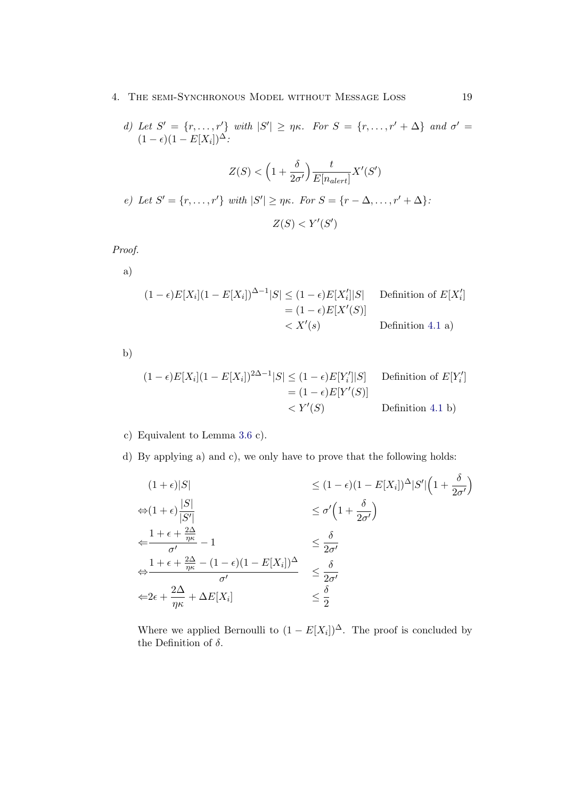#### 4. The semi-Synchronous Model without Message Loss 19

d) Let  $S' = \{r, \ldots, r'\}$  with  $|S'| \geq \eta \kappa$ . For  $S = \{r, \ldots, r' + \Delta\}$  and  $\sigma' =$  $(1 - \epsilon)(1 - E[X_i])^{\Delta}$ :

$$
Z(S) < \left(1 + \frac{\delta}{2\sigma'}\right) \frac{t}{E[n_{\text{alert}}]} X'(S')
$$
\n*e)* Let  $S' = \{r, \ldots, r'\}$  with  $|S'| \geq \eta \kappa$ . For  $S = \{r - \Delta, \ldots, r' + \Delta\}$ :

\n
$$
Z(S) < Y'(S')
$$

Proof.

a)

$$
(1 - \epsilon)E[X_i](1 - E[X_i])^{\Delta - 1}|S| \le (1 - \epsilon)E[X_i']|S| \quad \text{Definition of } E[X_i']
$$
  
=  $(1 - \epsilon)E[X'(S)]$   
 $< X'(s) \quad \text{Definition 4.1 a)}$ 

b)

$$
(1 - \epsilon)E[X_i](1 - E[X_i])^{2\Delta - 1}|S| \le (1 - \epsilon)E[Y'_i]|S] \quad \text{Definition of } E[Y'_i] \\
= (1 - \epsilon)E[Y'(S)] \\
\langle Y'(S) \rangle \quad \text{Definition 4.1 b}
$$

#### c) Equivalent to Lemma [3.6](#page-15-3) c).

d) By applying a) and c), we only have to prove that the following holds:

$$
(1 + \epsilon)|S| \le (1 - \epsilon)(1 - E[X_i])^{\Delta}|S'|\left(1 + \frac{\delta}{2\sigma'}\right)
$$
  
\n
$$
\Leftrightarrow (1 + \epsilon)\frac{|S|}{|S'|} \le \sigma'\left(1 + \frac{\delta}{2\sigma'}\right)
$$
  
\n
$$
\Leftrightarrow \frac{1 + \epsilon + \frac{2\Delta}{\eta\kappa} - 1}{\sigma'} - 1 \le \frac{\delta}{2\sigma'}
$$
  
\n
$$
\Leftrightarrow \frac{1 + \epsilon + \frac{2\Delta}{\eta\kappa} - (1 - \epsilon)(1 - E[X_i])^{\Delta}}{\sigma'} \le \frac{\delta}{2\sigma'}
$$
  
\n
$$
\Leftrightarrow 2\epsilon + \frac{2\Delta}{\eta\kappa} + \Delta E[X_i] \le \frac{\delta}{2}
$$

Where we applied Bernoulli to  $(1 - E[X_i])^{\Delta}$ . The proof is concluded by the Definition of  $\delta$ .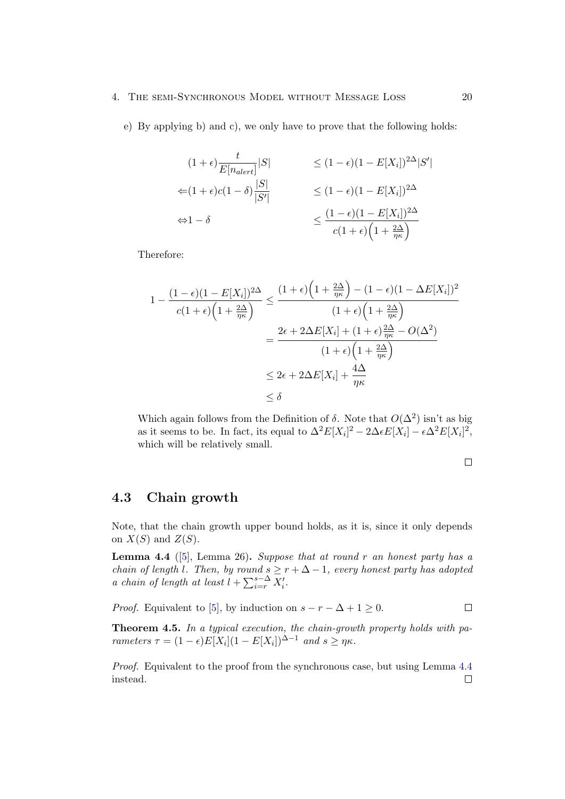#### 4. The semi-Synchronous Model without Message Loss 20

e) By applying b) and c), we only have to prove that the following holds:

$$
(1 + \epsilon) \frac{t}{E[n_{\text{alert}}]} |S| \le (1 - \epsilon)(1 - E[X_i])^{2\Delta} |S'|
$$
  

$$
\le (1 + \epsilon)c(1 - \delta) \frac{|S|}{|S'|} \le (1 - \epsilon)(1 - E[X_i])^{2\Delta}
$$
  

$$
\Leftrightarrow 1 - \delta \le \frac{(1 - \epsilon)(1 - E[X_i])^{2\Delta}}{c(1 + \epsilon)(1 + \frac{2\Delta}{\eta \kappa})}
$$

Therefore:

$$
1 - \frac{(1 - \epsilon)(1 - E[X_i])^{2\Delta}}{c(1 + \epsilon)\left(1 + \frac{2\Delta}{\eta\kappa}\right)} \le \frac{(1 + \epsilon)\left(1 + \frac{2\Delta}{\eta\kappa}\right) - (1 - \epsilon)(1 - \Delta E[X_i])^2}{(1 + \epsilon)\left(1 + \frac{2\Delta}{\eta\kappa}\right)}
$$
  
= 
$$
\frac{2\epsilon + 2\Delta E[X_i] + (1 + \epsilon)\frac{2\Delta}{\eta\kappa} - O(\Delta^2)}{(1 + \epsilon)\left(1 + \frac{2\Delta}{\eta\kappa}\right)}
$$
  

$$
\le 2\epsilon + 2\Delta E[X_i] + \frac{4\Delta}{\eta\kappa}
$$
  

$$
\le \delta
$$

Which again follows from the Definition of  $\delta$ . Note that  $O(\Delta^2)$  isn't as big as it seems to be. In fact, its equal to  $\Delta^2 E[X_i]^2 - 2\Delta \epsilon E[X_i] - \epsilon \Delta^2 E[X_i]^2$ , which will be relatively small.

### <span id="page-24-0"></span>4.3 Chain growth

Note, that the chain growth upper bound holds, as it is, since it only depends on  $X(S)$  and  $Z(S)$ .

<span id="page-24-1"></span>**Lemma 4.4** ([\[5\]](#page-39-5), Lemma 26). Suppose that at round r an honest party has a chain of length l. Then, by round  $s \geq r + \Delta - 1$ , every honest party has adopted a chain of length at least  $l + \sum_{i=r}^{s-\Delta} X'_i$ .

*Proof.* Equivalent to [\[5\]](#page-39-5), by induction on  $s - r - \Delta + 1 \geq 0$ .  $\Box$ 

Theorem 4.5. In a typical execution, the chain-growth property holds with parameters  $\tau = (1 - \epsilon)E[X_i](1 - E[X_i])^{\Delta - 1}$  and  $s \geq \eta \kappa$ .

Proof. Equivalent to the proof from the synchronous case, but using Lemma [4.4](#page-24-1) instead. $\Box$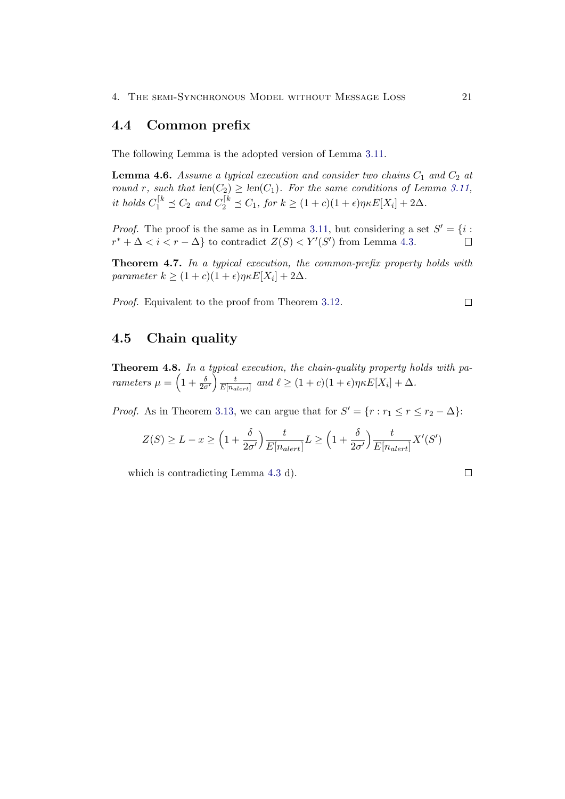## <span id="page-25-0"></span>4.4 Common prefix

The following Lemma is the adopted version of Lemma [3.11.](#page-19-2)

**Lemma 4.6.** Assume a typical execution and consider two chains  $C_1$  and  $C_2$  at round r, such that  $len(C_2) \geq len(C_1)$ . For the same conditions of Lemma [3.11,](#page-19-2) it holds  $C_1^{[k]} \preceq C_2$  and  $C_2^{[k]} \preceq C_1$ , for  $k \geq (1+c)(1+\epsilon)\eta \kappa E[X_i] + 2\Delta$ .

*Proof.* The proof is the same as in Lemma [3.11,](#page-19-2) but considering a set  $S' = \{i : S\}$  $r^* + \Delta < i < r - \Delta$  to contradict  $Z(S) < Y'(S')$  from Lemma [4.3.](#page-22-4)  $\Box$ 

Theorem 4.7. In a typical execution, the common-prefix property holds with parameter  $k \geq (1+c)(1+\epsilon)\eta \kappa E[X_i] + 2\Delta$ .

Proof. Equivalent to the proof from Theorem [3.12.](#page-19-3)

<span id="page-25-1"></span>4.5 Chain quality

Theorem 4.8. In a typical execution, the chain-quality property holds with parameters  $\mu = \left(1 + \frac{\delta}{2\sigma'}\right) \frac{t}{E\vert n_a}$  $\frac{t}{E[n_{alert}]}$  and  $\ell \geq (1+c)(1+\epsilon)\eta \kappa E[X_i] + \Delta$ .

*Proof.* As in Theorem [3.13,](#page-20-0) we can argue that for  $S' = \{r : r_1 \le r \le r_2 - \Delta\}$ :

$$
Z(S) \ge L - x \ge \left(1 + \frac{\delta}{2\sigma'}\right) \frac{t}{E[n_{alert}]} L \ge \left(1 + \frac{\delta}{2\sigma'}\right) \frac{t}{E[n_{alert}]} X'(S')
$$

which is contradicting Lemma [4.3](#page-22-4) d).

$$
\sqcup
$$

 $\Box$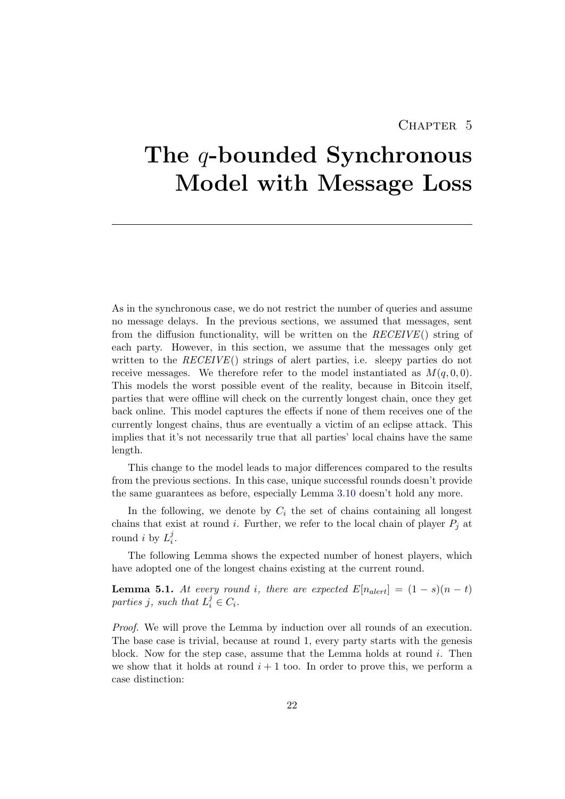## CHAPTER 5

# <span id="page-26-0"></span>The *q*-bounded Synchronous Model with Message Loss

As in the synchronous case, we do not restrict the number of queries and assume no message delays. In the previous sections, we assumed that messages, sent from the diffusion functionality, will be written on the RECEIVE() string of each party. However, in this section, we assume that the messages only get written to the  $RECEIVE()$  strings of alert parties, i.e. sleepy parties do not receive messages. We therefore refer to the model instantiated as  $M(q, 0, 0)$ . This models the worst possible event of the reality, because in Bitcoin itself, parties that were offline will check on the currently longest chain, once they get back online. This model captures the effects if none of them receives one of the currently longest chains, thus are eventually a victim of an eclipse attack. This implies that it's not necessarily true that all parties' local chains have the same length.

This change to the model leads to major differences compared to the results from the previous sections. In this case, unique successful rounds doesn't provide the same guarantees as before, especially Lemma [3.10](#page-19-1) doesn't hold any more.

In the following, we denote by  $C_i$  the set of chains containing all longest chains that exist at round i. Further, we refer to the local chain of player  $P_i$  at round *i* by  $L_i^j$  $\frac{j}{i}$ .

The following Lemma shows the expected number of honest players, which have adopted one of the longest chains existing at the current round.

<span id="page-26-1"></span>**Lemma 5.1.** At every round i, there are expected  $E[n_{\text{alert}}] = (1-s)(n-t)$ parties j, such that  $L_i^j \in C_i$ .

Proof. We will prove the Lemma by induction over all rounds of an execution. The base case is trivial, because at round 1, every party starts with the genesis block. Now for the step case, assume that the Lemma holds at round  $i$ . Then we show that it holds at round  $i + 1$  too. In order to prove this, we perform a case distinction: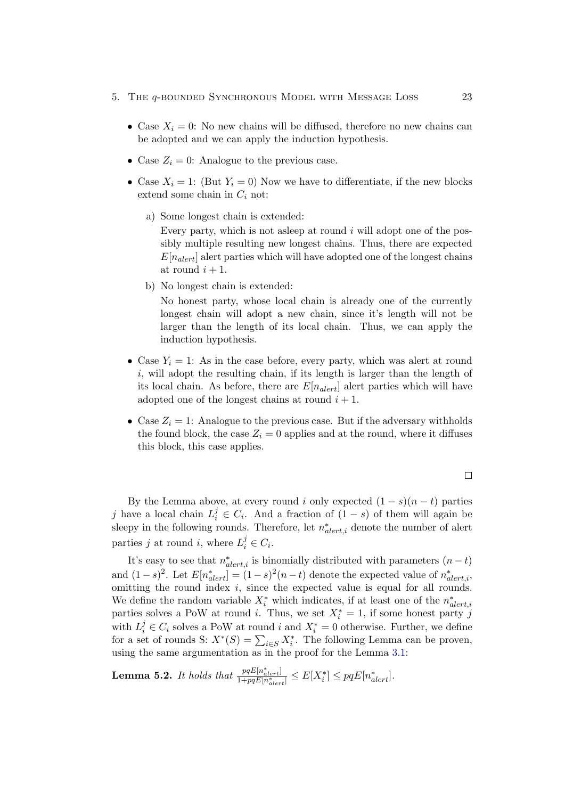- 5. The q-bounded Synchronous Model with Message Loss 23
	- Case  $X_i = 0$ : No new chains will be diffused, therefore no new chains can be adopted and we can apply the induction hypothesis.
	- Case  $Z_i = 0$ : Analogue to the previous case.
	- Case  $X_i = 1$ : (But  $Y_i = 0$ ) Now we have to differentiate, if the new blocks extend some chain in  $C_i$  not:
		- a) Some longest chain is extended:

Every party, which is not as leep at round  $i$  will adopt one of the possibly multiple resulting new longest chains. Thus, there are expected  $E[n_{\text{alert}}]$  alert parties which will have adopted one of the longest chains at round  $i+1$ .

b) No longest chain is extended:

No honest party, whose local chain is already one of the currently longest chain will adopt a new chain, since it's length will not be larger than the length of its local chain. Thus, we can apply the induction hypothesis.

- Case  $Y_i = 1$ : As in the case before, every party, which was alert at round  $i$ , will adopt the resulting chain, if its length is larger than the length of its local chain. As before, there are  $E[n_{\text{alert}}]$  alert parties which will have adopted one of the longest chains at round  $i + 1$ .
- Case  $Z_i = 1$ : Analogue to the previous case. But if the adversary withholds the found block, the case  $Z_i = 0$  applies and at the round, where it diffuses this block, this case applies.

$$
\qquad \qquad \Box
$$

By the Lemma above, at every round i only expected  $(1 - s)(n - t)$  parties j have a local chain  $L_i^j \in C_i$ . And a fraction of  $(1-s)$  of them will again be sleepy in the following rounds. Therefore, let  $n_{alert,i}^*$  denote the number of alert parties j at round i, where  $L_i^j \in C_i$ .

It's easy to see that  $n_{alert,i}^*$  is binomially distributed with parameters  $(n-t)$ and  $(1-s)^2$ . Let  $E[n_{alert}^*] = (1-s)^2(n-t)$  denote the expected value of  $n_{alert,i}^*$ , omitting the round index i, since the expected value is equal for all rounds. We define the random variable  $X_i^*$  which indicates, if at least one of the  $n_{alert,i}^*$ parties solves a PoW at round *i*. Thus, we set  $X_i^* = 1$ , if some honest party j with  $L_i^j \in C_i$  solves a PoW at round i and  $X_i^* = 0$  otherwise. Further, we define for a set of rounds S:  $X^*(S) = \sum_{i \in S} X_i^*$ . The following Lemma can be proven, using the same argumentation as in the proof for the Lemma [3.1:](#page-12-1)

**Lemma 5.2.** It holds that  $\frac{pqE[n_{alert}^*]}{1+pqE[n_{alert}^*]} \leq E[X_i^*] \leq pqE[n_{alert}^*].$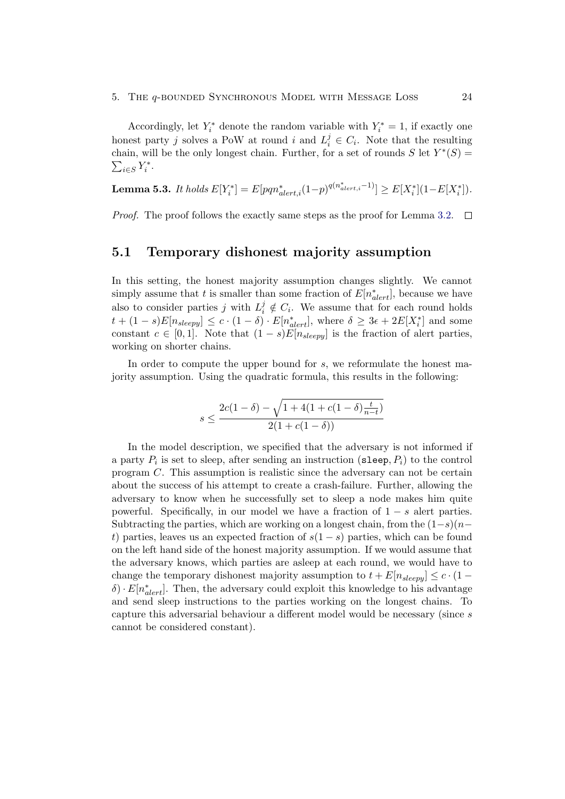#### 5. The q-bounded Synchronous Model with Message Loss 24

Accordingly, let  $Y_i^*$  denote the random variable with  $Y_i^* = 1$ , if exactly one honest party j solves a PoW at round i and  $L_i^j \in C_i$ . Note that the resulting chain, will be the only longest chain. Further, for a set of rounds  $S$  let  $Y^*(S)$  =  $\sum_{i\in S} Y_i^*$ .

**Lemma 5.3.** It holds 
$$
E[Y_i^*] = E[pqn_{alert,i}^*(1-p)^{q(n_{alert,i}^*-1)}] \ge E[X_i^*](1-E[X_i^*]).
$$

Proof. The proof follows the exactly same steps as the proof for Lemma [3.2.](#page-13-0)  $\Box$ 

#### <span id="page-28-0"></span>5.1 Temporary dishonest majority assumption

In this setting, the honest majority assumption changes slightly. We cannot simply assume that t is smaller than some fraction of  $E[n_{aler}^*]$ , because we have also to consider parties j with  $L_i^j \notin C_i$ . We assume that for each round holds  $t + (1 - s)E[n_{sleepy}] \leq c \cdot (1 - \delta) \cdot E[n_{alert}^*],$  where  $\delta \geq 3\epsilon + 2E[X_i^*]$  and some constant  $c \in [0,1]$ . Note that  $(1-s)E[n_{sleepy}]$  is the fraction of alert parties, working on shorter chains.

In order to compute the upper bound for s, we reformulate the honest majority assumption. Using the quadratic formula, this results in the following:

$$
s \le \frac{2c(1-\delta) - \sqrt{1 + 4(1 + c(1-\delta)\frac{t}{n-t})}}{2(1 + c(1-\delta))}
$$

In the model description, we specified that the adversary is not informed if a party  $P_i$  is set to sleep, after sending an instruction (sleep,  $P_i$ ) to the control program C. This assumption is realistic since the adversary can not be certain about the success of his attempt to create a crash-failure. Further, allowing the adversary to know when he successfully set to sleep a node makes him quite powerful. Specifically, in our model we have a fraction of  $1 - s$  alert parties. Subtracting the parties, which are working on a longest chain, from the  $(1-s)(n$ t) parties, leaves us an expected fraction of  $s(1-s)$  parties, which can be found on the left hand side of the honest majority assumption. If we would assume that the adversary knows, which parties are asleep at each round, we would have to change the temporary dishonest majority assumption to  $t + E[n_{sleepy}] \leq c \cdot (1 \delta) \cdot E[n^*_{alert}]$ . Then, the adversary could exploit this knowledge to his advantage and send sleep instructions to the parties working on the longest chains. To capture this adversarial behaviour a different model would be necessary (since s cannot be considered constant).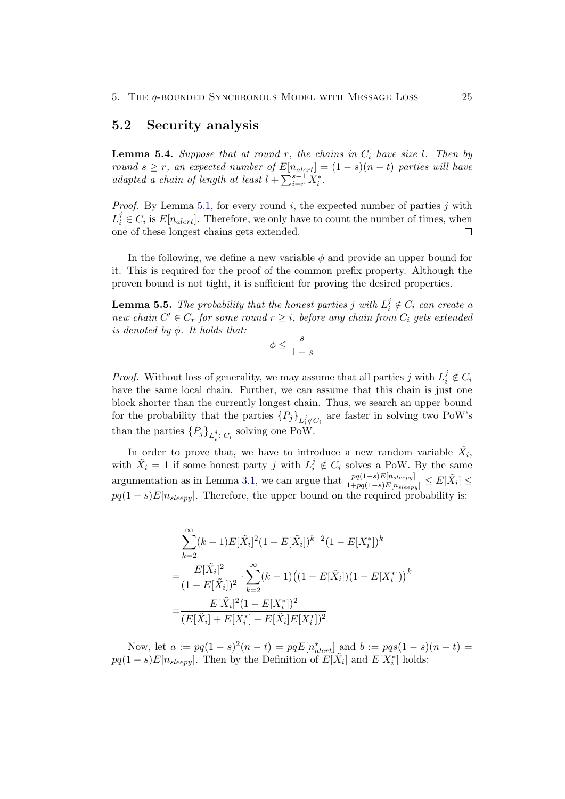#### <span id="page-29-0"></span>5.2 Security analysis

<span id="page-29-2"></span>**Lemma 5.4.** Suppose that at round r, the chains in  $C_i$  have size l. Then by round  $s \geq r$ , an expected number of  $E[n_{\text{alert}}] = (1 - s)(n - t)$  parties will have adapted a chain of length at least  $l + \sum_{i=r}^{s-1} X_i^*$ .

*Proof.* By Lemma [5.1,](#page-26-1) for every round  $i$ , the expected number of parties  $j$  with  $L_i^j \in C_i$  is  $E[n_{\text{alert}}]$ . Therefore, we only have to count the number of times, when one of these longest chains gets extended.  $\Box$ 

In the following, we define a new variable  $\phi$  and provide an upper bound for it. This is required for the proof of the common prefix property. Although the proven bound is not tight, it is sufficient for proving the desired properties.

<span id="page-29-1"></span>**Lemma 5.5.** The probability that the honest parties j with  $L_i^j \notin C_i$  can create a new chain  $C' \in C_r$  for some round  $r \geq i$ , before any chain from  $C_i$  gets extended is denoted by  $\phi$ . It holds that:

$$
\phi \le \frac{s}{1-s}
$$

*Proof.* Without loss of generality, we may assume that all parties j with  $L_i^j \notin C_i$ have the same local chain. Further, we can assume that this chain is just one block shorter than the currently longest chain. Thus, we search an upper bound for the probability that the parties  ${P_j}_{L_i^j \notin C_i}$  are faster in solving two PoW's than the parties  ${P_j}_{L_i^j \in C_i}$  solving one PoW.

In order to prove that, we have to introduce a new random variable  $\tilde{X}_i$ , with  $\tilde{X}_i = 1$  if some honest party j with  $L_i^j \notin C_i$  solves a PoW. By the same argumentation as in Lemma [3.1,](#page-12-1) we can argue that  $\frac{pq(1-s)E[n_{sleepg}]}{1+pq(1-s)E[n_{sleepg}]} \leq E[\tilde{X}_i] \leq$  $pq(1-s)E[n_{sleepy}]$ . Therefore, the upper bound on the required probability is:

$$
\sum_{k=2}^{\infty} (k-1) E[\tilde{X}_i]^2 (1 - E[\tilde{X}_i])^{k-2} (1 - E[X_i^*])^k
$$
  
= 
$$
\frac{E[\tilde{X}_i]^2}{(1 - E[\tilde{X}_i])^2} \cdot \sum_{k=2}^{\infty} (k-1) ((1 - E[\tilde{X}_i])(1 - E[X_i^*]))^k
$$
  
= 
$$
\frac{E[\tilde{X}_i]^2 (1 - E[X_i^*])^2}{(E[\tilde{X}_i] + E[X_i^*] - E[\tilde{X}_i]E[X_i^*])^2}
$$

Now, let  $a := pq(1-s)^2(n-t) = pqE[n_{alert}^*]$  and  $b := pqs(1-s)(n-t) =$  $pq(1-s)E[n_{sleepy}]$ . Then by the Definition of  $E[\tilde{X}_i]$  and  $E[X_i^*]$  holds: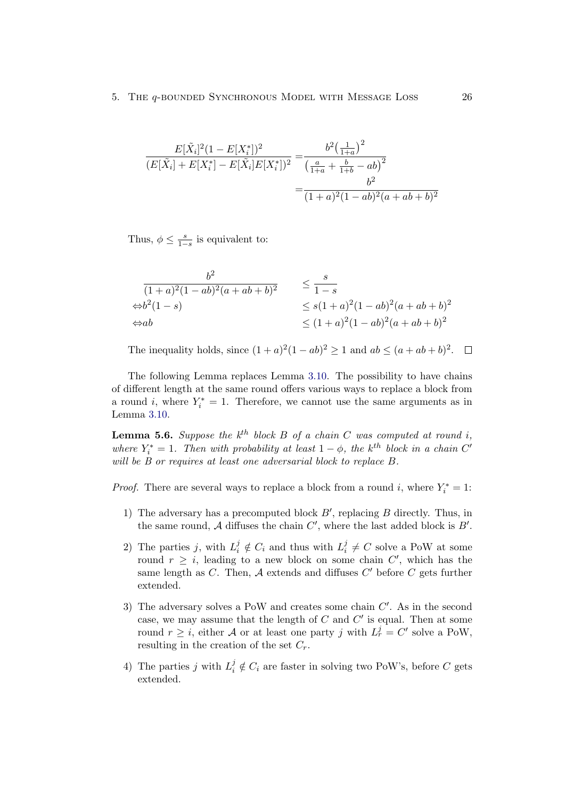$$
\frac{E[\tilde{X}_i]^2 (1 - E[X_i^*])^2}{(E[\tilde{X}_i] + E[X_i^*] - E[\tilde{X}_i]E[X_i^*])^2} = \frac{b^2 \left(\frac{1}{1+a}\right)^2}{\left(\frac{a}{1+a} + \frac{b}{1+b} - ab\right)^2}
$$

$$
= \frac{b^2}{(1+a)^2 (1-ab)^2 (a+ab+b)^2}
$$

Thus,  $\phi \leq \frac{s}{1-s}$  is equivalent to:

$$
\frac{b^2}{(1+a)^2(1-ab)^2(a+ab+b)^2} \le \frac{s}{1-s}
$$
  
\n
$$
\Leftrightarrow b^2(1-s) \le s(1+a)^2(1-ab)^2(a+ab+b)^2
$$
  
\n
$$
\Leftrightarrow ab \le (1+a)^2(1-ab)^2(a+ab+b)^2
$$

The inequality holds, since  $(1 + a)^2 (1 - ab)^2 \ge 1$  and  $ab \le (a + ab + b)^2$ .

The following Lemma replaces Lemma [3.10.](#page-19-1) The possibility to have chains of different length at the same round offers various ways to replace a block from a round i, where  $Y_i^* = 1$ . Therefore, we cannot use the same arguments as in Lemma [3.10.](#page-19-1)

<span id="page-30-0"></span>**Lemma 5.6.** Suppose the  $k^{th}$  block B of a chain C was computed at round i, where  $Y_i^* = 1$ . Then with probability at least  $1 - \phi$ , the k<sup>th</sup> block in a chain C' will be B or requires at least one adversarial block to replace B.

*Proof.* There are several ways to replace a block from a round i, where  $Y_i^* = 1$ :

- 1) The adversary has a precomputed block  $B'$ , replacing  $B$  directly. Thus, in the same round,  $A$  diffuses the chain  $C'$ , where the last added block is  $B'$ .
- 2) The parties j, with  $L_i^j \notin C_i$  and thus with  $L_i^j$  $i \neq C$  solve a PoW at some round  $r \geq i$ , leading to a new block on some chain  $C'$ , which has the same length as  $C$ . Then,  $\mathcal A$  extends and diffuses  $C'$  before  $C$  gets further extended.
- 3) The adversary solves a PoW and creates some chain  $C'$ . As in the second case, we may assume that the length of  $C$  and  $C'$  is equal. Then at some round  $r \geq i$ , either A or at least one party j with  $L_r^j = C'$  solve a PoW, resulting in the creation of the set  $C_r$ .
- 4) The parties j with  $L_i^j \notin C_i$  are faster in solving two PoW's, before C gets extended.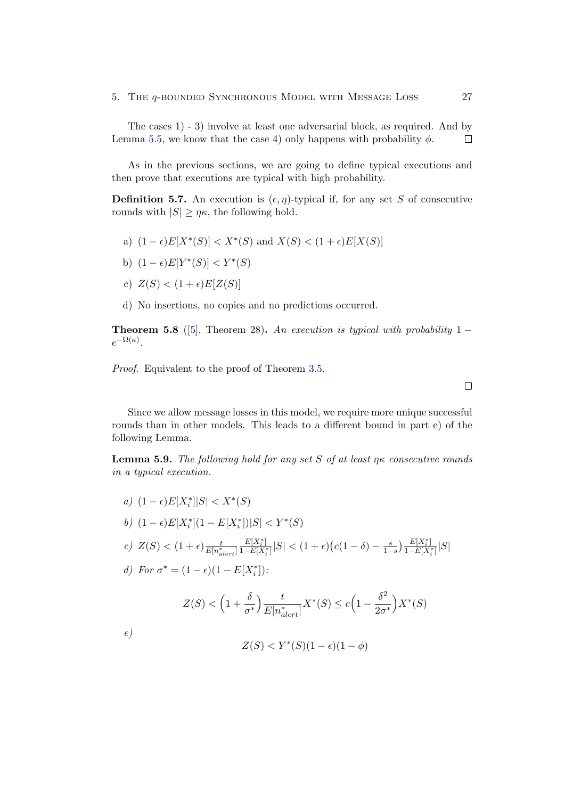The cases 1) - 3) involve at least one adversarial block, as required. And by Lemma [5.5,](#page-29-1) we know that the case 4) only happens with probability  $\phi$ .  $\Box$ 

As in the previous sections, we are going to define typical executions and then prove that executions are typical with high probability.

<span id="page-31-0"></span>**Definition 5.7.** An execution is  $(\epsilon, \eta)$ -typical if, for any set S of consecutive rounds with  $|S| \geq \eta \kappa$ , the following hold.

- a)  $(1 \epsilon)E[X^*(S)] < X^*(S)$  and  $X(S) < (1 + \epsilon)E[X(S)]$
- b)  $(1 \epsilon)E[Y^*(S)] < Y^*(S)$
- c)  $Z(S) < (1+\epsilon)E[Z(S)]$
- d) No insertions, no copies and no predictions occurred.

**Theorem 5.8** ([\[5\]](#page-39-5), Theorem 28). An execution is typical with probability 1 –  $e^{-\Omega(\kappa)}$ .

Proof. Equivalent to the proof of Theorem [3.5.](#page-15-4)

Since we allow message losses in this model, we require more unique successful rounds than in other models. This leads to a different bound in part e) of the following Lemma.

<span id="page-31-1"></span>**Lemma 5.9.** The following hold for any set S of at least  $\eta\kappa$  consecutive rounds in a typical execution.

- a)  $(1 \epsilon)E[X_i^*]|S| < X^*(S)$
- b)  $(1 \epsilon)E[X_i^*](1 E[X_i^*])|S| < Y^*(S)$

c) 
$$
Z(S) < (1 + \epsilon) \frac{t}{E[n_{alert}^*]} \frac{E[X_i^*]}{1 - E[X_i^*]} |S| < (1 + \epsilon) (c(1 - \delta) - \frac{s}{1 - s}) \frac{E[X_i^*]}{1 - E[X_i^*]} |S|
$$

d) For  $\sigma^* = (1 - \epsilon)(1 - E[X_i^*])$ :

$$
Z(S) < \left(1 + \frac{\delta}{\sigma^*}\right) \frac{t}{E[n_{\text{alert}}^*]} X^*(S) \le c \left(1 - \frac{\delta^2}{2\sigma^*}\right) X^*(S)
$$

e)

$$
Z(S) < Y^*(S)(1 - \epsilon)(1 - \phi)
$$

 $\Box$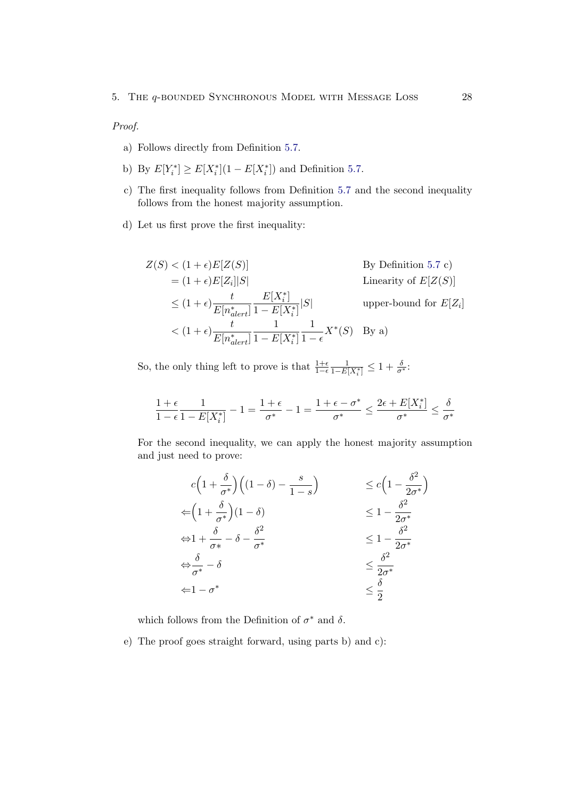#### Proof.

- a) Follows directly from Definition [5.7.](#page-31-0)
- b) By  $E[Y_i^*] \ge E[X_i^*](1 E[X_i^*])$  and Definition [5.7.](#page-31-0)
- c) The first inequality follows from Definition [5.7](#page-31-0) and the second inequality follows from the honest majority assumption.
- d) Let us first prove the first inequality:

$$
Z(S) < (1 + \epsilon)E[Z(S)] \qquad \text{By Definition 5.7 c)}
$$
\n
$$
= (1 + \epsilon)E[Z_i]|S| \qquad \text{Linearity of } E[Z(S)]
$$
\n
$$
\leq (1 + \epsilon) \frac{t}{E[n_{alert}^*]} \frac{E[X_i^*]}{1 - E[X_i^*]} |S| \qquad \text{upper-bound for } E[Z_i]
$$
\n
$$
< (1 + \epsilon) \frac{t}{E[n_{alert}^*]} \frac{1}{1 - E[X_i^*]} \frac{1}{1 - \epsilon} X^*(S) \quad \text{By a)}
$$

So, the only thing left to prove is that  $\frac{1+\epsilon}{1-\epsilon} \frac{1}{1-E[X_i^*]} \leq 1 + \frac{\delta}{\sigma^*}$ :

$$
\frac{1+\epsilon}{1-\epsilon}\frac{1}{1-E[X^*_i]}-1=\frac{1+\epsilon}{\sigma^*}-1=\frac{1+\epsilon-\sigma^*}{\sigma^*}\leq \frac{2\epsilon+E[X^*_i]}{\sigma^*}\leq \frac{\delta}{\sigma^*}
$$

For the second inequality, we can apply the honest majority assumption and just need to prove:

$$
c\left(1+\frac{\delta}{\sigma^*}\right)\left((1-\delta)-\frac{s}{1-s}\right) \le c\left(1-\frac{\delta^2}{2\sigma^*}\right)
$$
  
\n
$$
\Leftarrow \left(1+\frac{\delta}{\sigma^*}\right)(1-\delta) \le 1-\frac{\delta^2}{2\sigma^*}
$$
  
\n
$$
\Leftrightarrow 1+\frac{\delta}{\sigma^*}-\delta-\frac{\delta^2}{\sigma^*} \le 1-\frac{\delta^2}{2\sigma^*}
$$
  
\n
$$
\Leftrightarrow \frac{\delta}{\sigma^*}-\delta \le \frac{\delta^2}{2\sigma^*}
$$
  
\n
$$
\Leftarrow 1-\sigma^* \le \frac{\delta}{2}
$$

which follows from the Definition of  $\sigma^*$  and  $\delta$ .

e) The proof goes straight forward, using parts b) and c):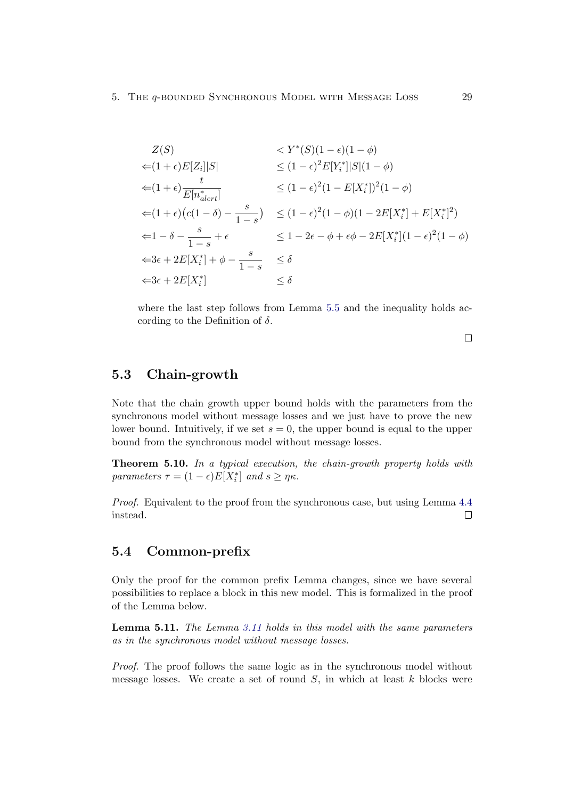$$
Z(S) \le Y^*(S)(1 - \epsilon)(1 - \phi)
$$
  
\n
$$
\le (1 + \epsilon)E[Z_i]|S| \le (1 - \epsilon)^2 E[Y_i^*]|S|(1 - \phi)
$$
  
\n
$$
\le (1 - \epsilon)^2 (1 - E[X_i^*])^2 (1 - \phi)
$$
  
\n
$$
\le (1 + \epsilon) \frac{t}{E[n_{\text{alert}}^*]} \le (1 - \epsilon)^2 (1 - E[X_i^*])^2 (1 - \phi)
$$
  
\n
$$
\le (1 - \epsilon)^2 (1 - \phi)(1 - 2E[X_i^*] + E[X_i^*]^2)
$$
  
\n
$$
\le 1 - 2\epsilon - \phi + \epsilon \phi - 2E[X_i^*](1 - \epsilon)^2 (1 - \phi)
$$
  
\n
$$
\le 3\epsilon + 2E[X_i^*] + \phi - \frac{s}{1 - s} \le \delta
$$
  
\n
$$
\le \delta
$$

where the last step follows from Lemma [5.5](#page-29-1) and the inequality holds according to the Definition of  $\delta$ .

 $\Box$ 

### <span id="page-33-0"></span>5.3 Chain-growth

Note that the chain growth upper bound holds with the parameters from the synchronous model without message losses and we just have to prove the new lower bound. Intuitively, if we set  $s = 0$ , the upper bound is equal to the upper bound from the synchronous model without message losses.

Theorem 5.10. In a typical execution, the chain-growth property holds with parameters  $\tau = (1 - \epsilon)E[X_i^*]$  and  $s \geq \eta \kappa$ .

Proof. Equivalent to the proof from the synchronous case, but using Lemma [4.4](#page-24-1) instead.  $\Box$ 

#### <span id="page-33-1"></span>5.4 Common-prefix

Only the proof for the common prefix Lemma changes, since we have several possibilities to replace a block in this new model. This is formalized in the proof of the Lemma below.

<span id="page-33-2"></span>Lemma 5.11. The Lemma [3.11](#page-19-2) holds in this model with the same parameters as in the synchronous model without message losses.

Proof. The proof follows the same logic as in the synchronous model without message losses. We create a set of round  $S$ , in which at least  $k$  blocks were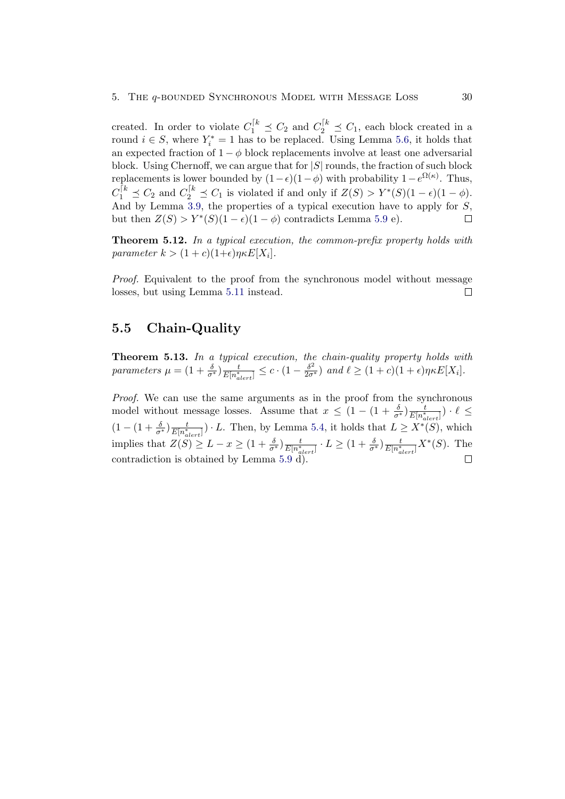created. In order to violate  $C_1^{k} \preceq C_2$  and  $C_2^{k} \preceq C_1$ , each block created in a round  $i \in S$ , where  $Y_i^* = 1$  has to be replaced. Using Lemma [5.6,](#page-30-0) it holds that an expected fraction of  $1 - \phi$  block replacements involve at least one adversarial block. Using Chernoff, we can argue that for  $|S|$  rounds, the fraction of such block replacements is lower bounded by  $(1 - \epsilon)(1 - \phi)$  with probability  $1 - e^{\Omega(\kappa)}$ . Thus,  $C_1^{[k]} \preceq C_2$  and  $C_2^{[k]} \preceq C_1$  is violated if and only if  $Z(S) > Y^*(S)(1 - \epsilon)(1 - \phi)$ . And by Lemma [3.9,](#page-18-2) the properties of a typical execution have to apply for S, but then  $Z(S) > Y^*(S)(1 - \epsilon)(1 - \phi)$  contradicts Lemma [5.9](#page-31-1) e).  $\Box$ 

Theorem 5.12. In a typical execution, the common-prefix property holds with parameter  $k > (1+c)(1+\epsilon)\eta \kappa E[X_i].$ 

Proof. Equivalent to the proof from the synchronous model without message losses, but using Lemma [5.11](#page-33-2) instead.  $\Box$ 

## <span id="page-34-0"></span>5.5 Chain-Quality

Theorem 5.13. In a typical execution, the chain-quality property holds with parameters  $\mu = (1 + \frac{\delta}{\sigma^*}) \frac{t}{E[n^*_\sigma]}$  $\frac{t}{E[n_{alerl}^*]} \leq c \cdot (1 - \frac{\delta^2}{2\sigma^*})$  and  $\ell \geq (1+c)(1+\epsilon)\eta \kappa E[X_i].$ 

Proof. We can use the same arguments as in the proof from the synchronous model without message losses. Assume that  $x \leq (1 - (1 + \frac{\delta}{\sigma^*}) \frac{t}{E \mid n_{\alpha}^*} )$  $\frac{t}{E[n^*_{alert}]}$ )  $\cdot \ell \leq$  $(1-(1+\frac{\delta}{\sigma^*})\frac{t}{E[n_{\sigma}^*]}$  $\frac{t}{E[n_{alert}^*]}$ ) · L. Then, by Lemma [5.4,](#page-29-2) it holds that  $L \ge X^*(S)$ , which implies that  $Z(S) \geq L - x \geq (1 + \frac{\delta}{\sigma^*}) \frac{t}{E \mid n_{\sigma}^*}$  $\frac{t}{E[n^*_{alert}]} \cdot L \geq (1+\frac{\delta}{\sigma^*}) \frac{t}{E[n^*_{a}]}$  $\frac{t}{E[n_{alert}^*]} X^*(S)$ . The contradiction is obtained by Lemma [5.9](#page-31-1)  $\tilde{d}$ ).  $\Box$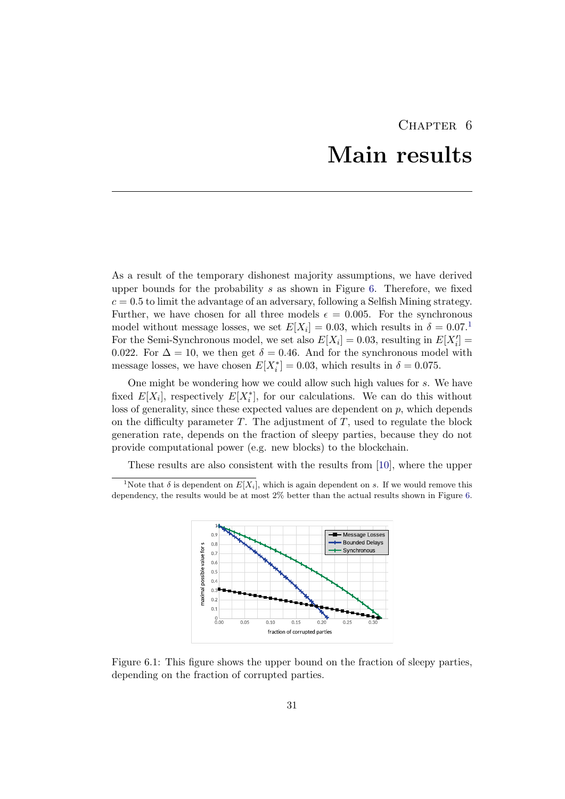## CHAPTER 6 Main results

<span id="page-35-0"></span>As a result of the temporary dishonest majority assumptions, we have derived upper bounds for the probability  $s$  as shown in Figure [6.](#page-35-0) Therefore, we fixed  $c = 0.5$  to limit the advantage of an adversary, following a Selfish Mining strategy. Further, we have chosen for all three models  $\epsilon = 0.005$ . For the synchronous model without message losses, we set  $E[X_i] = 0.03$ , which results in  $\delta = 0.07$ .<sup>[1](#page-35-1)</sup> For the Semi-Synchronous model, we set also  $E[X_i] = 0.03$ , resulting in  $E[X'_i] =$ 0.022. For  $\Delta = 10$ , we then get  $\delta = 0.46$ . And for the synchronous model with message losses, we have chosen  $E[X_i^*] = 0.03$ , which results in  $\delta = 0.075$ .

One might be wondering how we could allow such high values for s. We have fixed  $E[X_i]$ , respectively  $E[X_i^*]$ , for our calculations. We can do this without loss of generality, since these expected values are dependent on  $p$ , which depends on the difficulty parameter  $T$ . The adjustment of  $T$ , used to regulate the block generation rate, depends on the fraction of sleepy parties, because they do not provide computational power (e.g. new blocks) to the blockchain.

<span id="page-35-1"></span>These results are also consistent with the results from [\[10\]](#page-39-10), where the upper

<sup>&</sup>lt;sup>1</sup>Note that  $\delta$  is dependent on  $E[X_i]$ , which is again dependent on s. If we would remove this dependency, the results would be at most 2% better than the actual results shown in Figure [6.](#page-35-0)



Figure 6.1: This figure shows the upper bound on the fraction of sleepy parties, depending on the fraction of corrupted parties.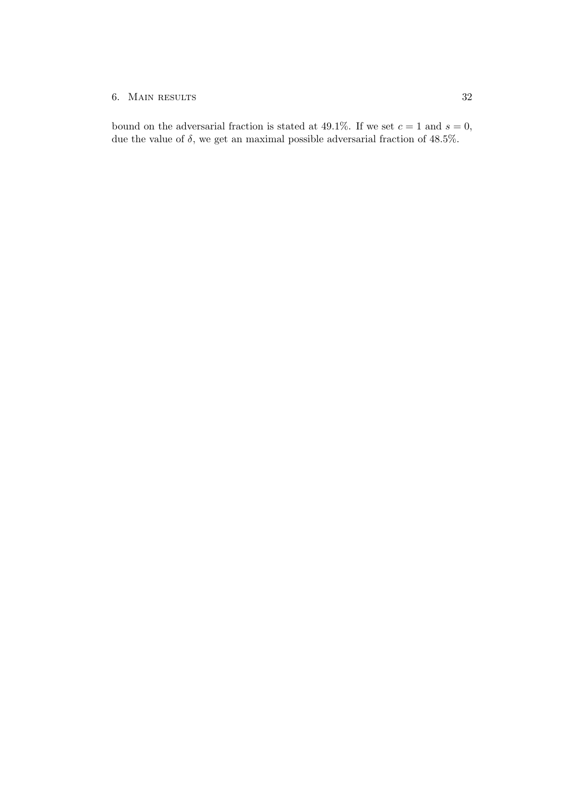#### 6. MAIN RESULTS 32

bound on the adversarial fraction is stated at 49.1%. If we set  $c = 1$  and  $s = 0$ , due the value of  $\delta$ , we get an maximal possible adversarial fraction of 48.5%.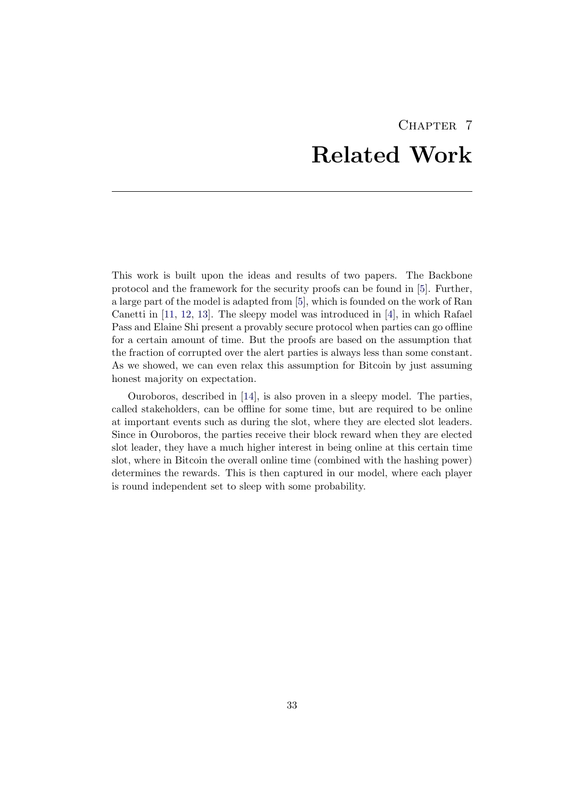# CHAPTER<sub>7</sub> Related Work

<span id="page-37-0"></span>This work is built upon the ideas and results of two papers. The Backbone protocol and the framework for the security proofs can be found in [\[5\]](#page-39-5). Further, a large part of the model is adapted from [\[5\]](#page-39-5), which is founded on the work of Ran Canetti in [\[11,](#page-39-11) [12,](#page-39-12) [13\]](#page-40-0). The sleepy model was introduced in [\[4\]](#page-39-4), in which Rafael Pass and Elaine Shi present a provably secure protocol when parties can go offline for a certain amount of time. But the proofs are based on the assumption that the fraction of corrupted over the alert parties is always less than some constant. As we showed, we can even relax this assumption for Bitcoin by just assuming honest majority on expectation.

Ouroboros, described in [\[14\]](#page-40-1), is also proven in a sleepy model. The parties, called stakeholders, can be offline for some time, but are required to be online at important events such as during the slot, where they are elected slot leaders. Since in Ouroboros, the parties receive their block reward when they are elected slot leader, they have a much higher interest in being online at this certain time slot, where in Bitcoin the overall online time (combined with the hashing power) determines the rewards. This is then captured in our model, where each player is round independent set to sleep with some probability.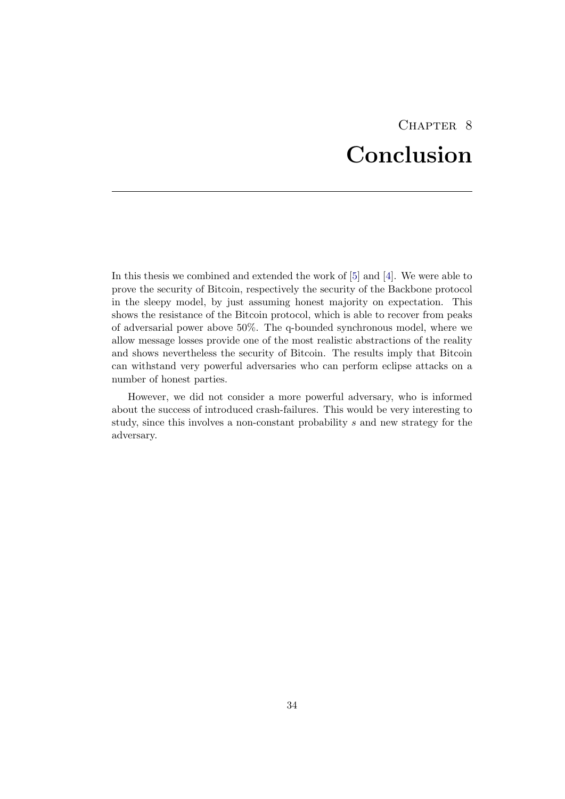# CHAPTER<sub>8</sub> Conclusion

<span id="page-38-0"></span>In this thesis we combined and extended the work of [\[5\]](#page-39-5) and [\[4\]](#page-39-4). We were able to prove the security of Bitcoin, respectively the security of the Backbone protocol in the sleepy model, by just assuming honest majority on expectation. This shows the resistance of the Bitcoin protocol, which is able to recover from peaks of adversarial power above 50%. The q-bounded synchronous model, where we allow message losses provide one of the most realistic abstractions of the reality and shows nevertheless the security of Bitcoin. The results imply that Bitcoin can withstand very powerful adversaries who can perform eclipse attacks on a number of honest parties.

However, we did not consider a more powerful adversary, who is informed about the success of introduced crash-failures. This would be very interesting to study, since this involves a non-constant probability s and new strategy for the adversary.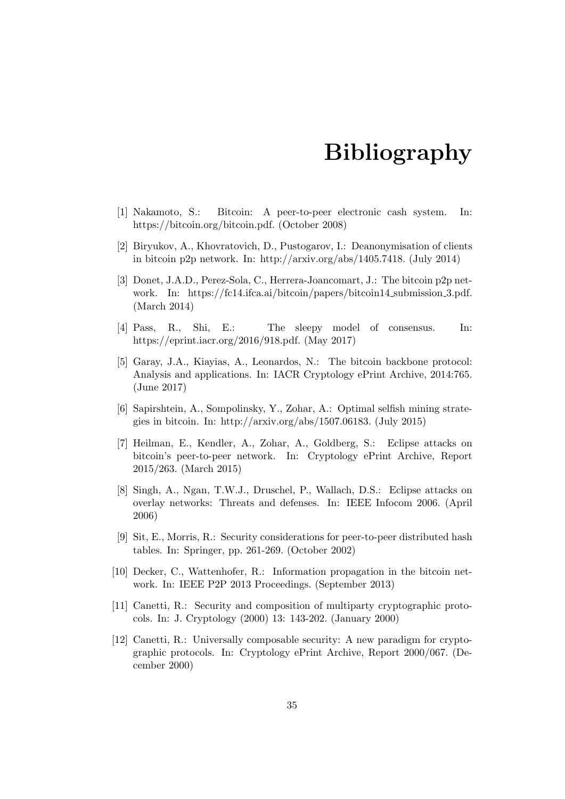## Bibliography

- <span id="page-39-1"></span><span id="page-39-0"></span>[1] Nakamoto, S.: Bitcoin: A peer-to-peer electronic cash system. In: https://bitcoin.org/bitcoin.pdf. (October 2008)
- <span id="page-39-2"></span>[2] Biryukov, A., Khovratovich, D., Pustogarov, I.: Deanonymisation of clients in bitcoin p2p network. In: http://arxiv.org/abs/1405.7418. (July 2014)
- <span id="page-39-3"></span>[3] Donet, J.A.D., Perez-Sola, C., Herrera-Joancomart, J.: The bitcoin p2p network. In: https://fc14.ifca.ai/bitcoin/papers/bitcoin14 submission 3.pdf. (March 2014)
- <span id="page-39-4"></span>[4] Pass, R., Shi, E.: The sleepy model of consensus. In: https://eprint.iacr.org/2016/918.pdf. (May 2017)
- <span id="page-39-5"></span>[5] Garay, J.A., Kiayias, A., Leonardos, N.: The bitcoin backbone protocol: Analysis and applications. In: IACR Cryptology ePrint Archive, 2014:765. (June 2017)
- <span id="page-39-6"></span>[6] Sapirshtein, A., Sompolinsky, Y., Zohar, A.: Optimal selfish mining strategies in bitcoin. In: http://arxiv.org/abs/1507.06183. (July 2015)
- <span id="page-39-7"></span>[7] Heilman, E., Kendler, A., Zohar, A., Goldberg, S.: Eclipse attacks on bitcoin's peer-to-peer network. In: Cryptology ePrint Archive, Report 2015/263. (March 2015)
- <span id="page-39-8"></span>[8] Singh, A., Ngan, T.W.J., Druschel, P., Wallach, D.S.: Eclipse attacks on overlay networks: Threats and defenses. In: IEEE Infocom 2006. (April 2006)
- <span id="page-39-9"></span>[9] Sit, E., Morris, R.: Security considerations for peer-to-peer distributed hash tables. In: Springer, pp. 261-269. (October 2002)
- <span id="page-39-10"></span>[10] Decker, C., Wattenhofer, R.: Information propagation in the bitcoin network. In: IEEE P2P 2013 Proceedings. (September 2013)
- <span id="page-39-11"></span>[11] Canetti, R.: Security and composition of multiparty cryptographic protocols. In: J. Cryptology (2000) 13: 143-202. (January 2000)
- <span id="page-39-12"></span>[12] Canetti, R.: Universally composable security: A new paradigm for cryptographic protocols. In: Cryptology ePrint Archive, Report 2000/067. (December 2000)